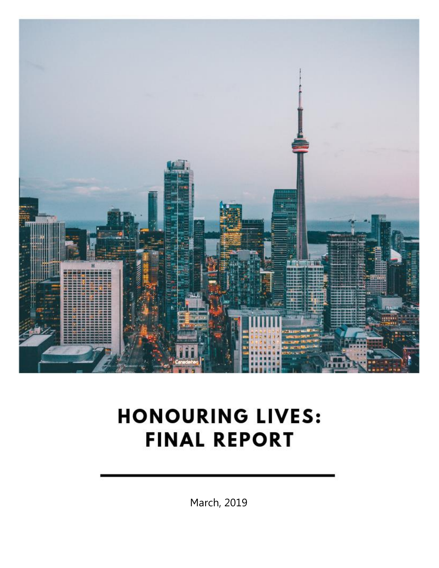

# **HONOURING LIVES: FINAL REPORT**

March, 2019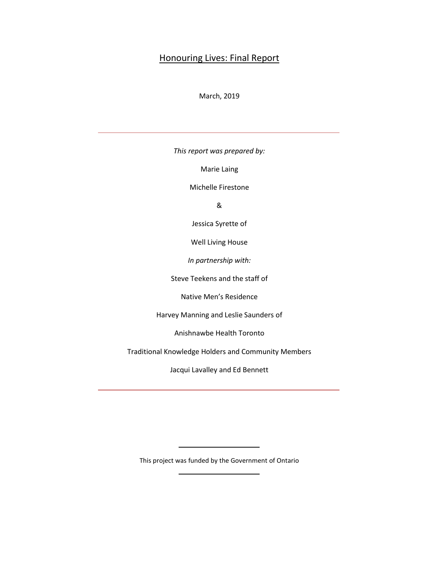# Honouring Lives: Final Report

#### March, 2019

*This report was prepared by:*

Marie Laing

Michelle Firestone

&

Jessica Syrette of

Well Living House

*In partnership with:*

Steve Teekens and the staff of

Native Men's Residence

Harvey Manning and Leslie Saunders of

Anishnawbe Health Toronto

Traditional Knowledge Holders and Community Members

Jacqui Lavalley and Ed Bennett

This project was funded by the Government of Ontario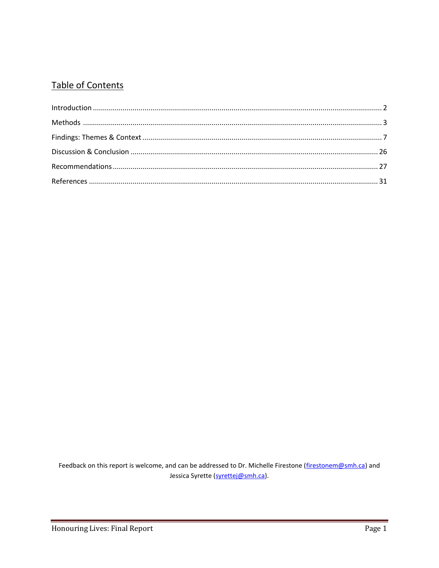# **Table of Contents**

Feedback on this report is welcome, and can be addressed to Dr. Michelle Firestone (firestonem@smh.ca) and Jessica Syrette (syrettej@smh.ca).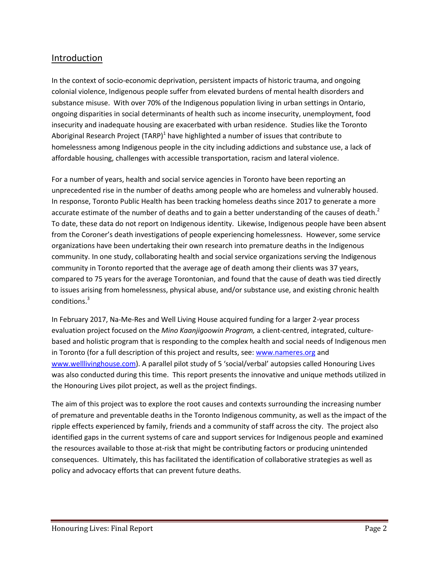# Introduction

In the context of socio-economic deprivation, persistent impacts of historic trauma, and ongoing colonial violence, Indigenous people suffer from elevated burdens of mental health disorders and substance misuse. With over 70% of the Indigenous population living in urban settings in Ontario, ongoing disparities in social determinants of health such as income insecurity, unemployment, food insecurity and inadequate housing are exacerbated with urban residence. Studies like the Toronto Aboriginal Research Project (TARP)<sup>1</sup> have highlighted a number of issues that contribute to homelessness among Indigenous people in the city including addictions and substance use, a lack of affordable housing, challenges with accessible transportation, racism and lateral violence.

For a number of years, health and social service agencies in Toronto have been reporting an unprecedented rise in the number of deaths among people who are homeless and vulnerably housed. In response, Toronto Public Health has been tracking homeless deaths since 2017 to generate a more accurate estimate of the number of deaths and to gain a better understanding of the causes of death.<sup>2</sup> To date, these data do not report on Indigenous identity. Likewise, Indigenous people have been absent from the Coroner's death investigations of people experiencing homelessness. However, some service organizations have been undertaking their own research into premature deaths in the Indigenous community. In one study, collaborating health and social service organizations serving the Indigenous community in Toronto reported that the average age of death among their clients was 37 years, compared to 75 years for the average Torontonian, and found that the cause of death was tied directly to issues arising from homelessness, physical abuse, and/or substance use, and existing chronic health conditions. 3

In February 2017, Na-Me-Res and Well Living House acquired funding for a larger 2-year process evaluation project focused on the *Mino Kaanjigoowin Program,* a client-centred, integrated, culturebased and holistic program that is responding to the complex health and social needs of Indigenous men in Toronto (for a full description of this project and results, see: [www.nameres.org](http://www.nameres.org/) and [www.welllivinghouse.com](file://SHAREDRIVE1/Users/marielaing/Downloads/www.welllivinghouse.com)). A parallel pilot study of 5 'social/verbal' autopsies called Honouring Lives was also conducted during this time. This report presents the innovative and unique methods utilized in the Honouring Lives pilot project, as well as the project findings.

The aim of this project was to explore the root causes and contexts surrounding the increasing number of premature and preventable deaths in the Toronto Indigenous community, as well as the impact of the ripple effects experienced by family, friends and a community of staff across the city. The project also identified gaps in the current systems of care and support services for Indigenous people and examined the resources available to those at-risk that might be contributing factors or producing unintended consequences. Ultimately, this has facilitated the identification of collaborative strategies as well as policy and advocacy efforts that can prevent future deaths.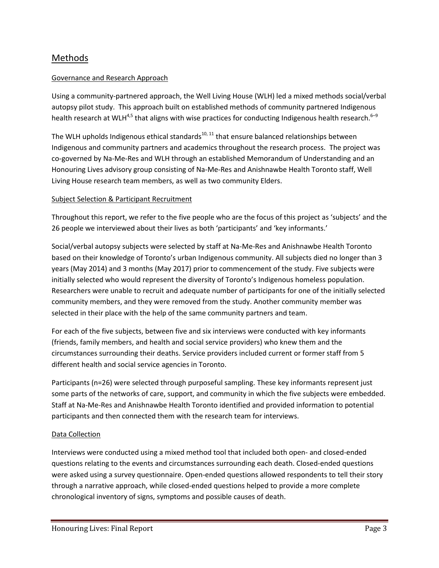# Methods

#### Governance and Research Approach

Using a community-partnered approach, the Well Living House (WLH) led a mixed methods social/verbal autopsy pilot study. This approach built on established methods of community partnered Indigenous health research at WLH<sup>4,5</sup> that aligns with wise practices for conducting Indigenous health research.<sup>6–9</sup>

The WLH upholds Indigenous ethical standards $10, 11$  that ensure balanced relationships between Indigenous and community partners and academics throughout the research process. The project was co-governed by Na-Me-Res and WLH through an established Memorandum of Understanding and an Honouring Lives advisory group consisting of Na-Me-Res and Anishnawbe Health Toronto staff, Well Living House research team members, as well as two community Elders.

#### Subject Selection & Participant Recruitment

Throughout this report, we refer to the five people who are the focus of this project as 'subjects' and the 26 people we interviewed about their lives as both 'participants' and 'key informants.'

Social/verbal autopsy subjects were selected by staff at Na-Me-Res and Anishnawbe Health Toronto based on their knowledge of Toronto's urban Indigenous community. All subjects died no longer than 3 years (May 2014) and 3 months (May 2017) prior to commencement of the study. Five subjects were initially selected who would represent the diversity of Toronto's Indigenous homeless population. Researchers were unable to recruit and adequate number of participants for one of the initially selected community members, and they were removed from the study. Another community member was selected in their place with the help of the same community partners and team.

For each of the five subjects, between five and six interviews were conducted with key informants (friends, family members, and health and social service providers) who knew them and the circumstances surrounding their deaths. Service providers included current or former staff from 5 different health and social service agencies in Toronto.

Participants (n=26) were selected through purposeful sampling. These key informants represent just some parts of the networks of care, support, and community in which the five subjects were embedded. Staff at Na-Me-Res and Anishnawbe Health Toronto identified and provided information to potential participants and then connected them with the research team for interviews.

#### Data Collection

Interviews were conducted using a mixed method tool that included both open- and closed-ended questions relating to the events and circumstances surrounding each death. Closed-ended questions were asked using a survey questionnaire. Open-ended questions allowed respondents to tell their story through a narrative approach, while closed-ended questions helped to provide a more complete chronological inventory of signs, symptoms and possible causes of death.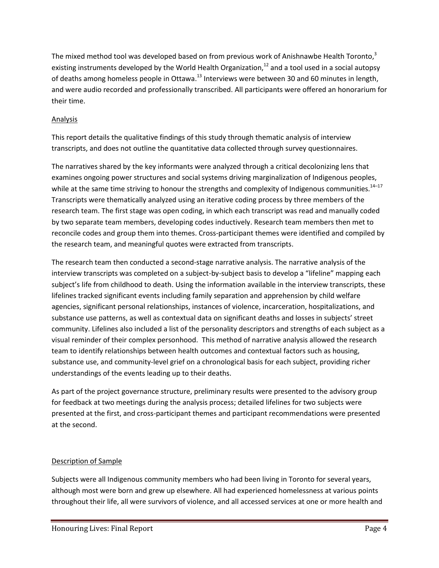The mixed method tool was developed based on from previous work of Anishnawbe Health Toronto,<sup>3</sup> existing instruments developed by the World Health Organization,<sup>12</sup> and a tool used in a social autopsy of deaths among homeless people in Ottawa.<sup>13</sup> Interviews were between 30 and 60 minutes in length, and were audio recorded and professionally transcribed. All participants were offered an honorarium for their time.

# Analysis

This report details the qualitative findings of this study through thematic analysis of interview transcripts, and does not outline the quantitative data collected through survey questionnaires.

The narratives shared by the key informants were analyzed through a critical decolonizing lens that examines ongoing power structures and social systems driving marginalization of Indigenous peoples, while at the same time striving to honour the strengths and complexity of Indigenous communities. $^{14-17}$ Transcripts were thematically analyzed using an iterative coding process by three members of the research team. The first stage was open coding, in which each transcript was read and manually coded by two separate team members, developing codes inductively. Research team members then met to reconcile codes and group them into themes. Cross-participant themes were identified and compiled by the research team, and meaningful quotes were extracted from transcripts.

The research team then conducted a second-stage narrative analysis. The narrative analysis of the interview transcripts was completed on a subject-by-subject basis to develop a "lifeline" mapping each subject's life from childhood to death. Using the information available in the interview transcripts, these lifelines tracked significant events including family separation and apprehension by child welfare agencies, significant personal relationships, instances of violence, incarceration, hospitalizations, and substance use patterns, as well as contextual data on significant deaths and losses in subjects' street community. Lifelines also included a list of the personality descriptors and strengths of each subject as a visual reminder of their complex personhood. This method of narrative analysis allowed the research team to identify relationships between health outcomes and contextual factors such as housing, substance use, and community-level grief on a chronological basis for each subject, providing richer understandings of the events leading up to their deaths.

As part of the project governance structure, preliminary results were presented to the advisory group for feedback at two meetings during the analysis process; detailed lifelines for two subjects were presented at the first, and cross-participant themes and participant recommendations were presented at the second.

# Description of Sample

Subjects were all Indigenous community members who had been living in Toronto for several years, although most were born and grew up elsewhere. All had experienced homelessness at various points throughout their life, all were survivors of violence, and all accessed services at one or more health and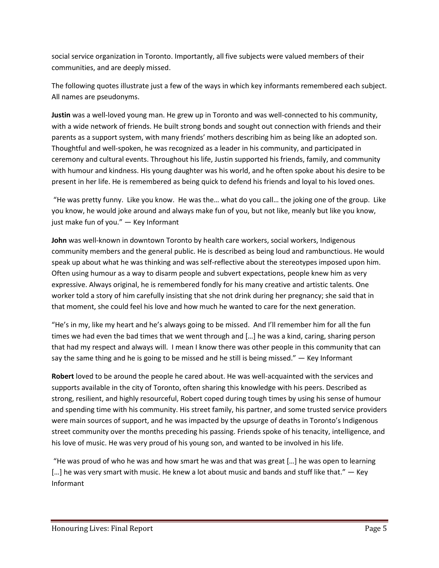social service organization in Toronto. Importantly, all five subjects were valued members of their communities, and are deeply missed.

The following quotes illustrate just a few of the ways in which key informants remembered each subject. All names are pseudonyms.

**Justin** was a well-loved young man. He grew up in Toronto and was well-connected to his community, with a wide network of friends. He built strong bonds and sought out connection with friends and their parents as a support system, with many friends' mothers describing him as being like an adopted son. Thoughtful and well-spoken, he was recognized as a leader in his community, and participated in ceremony and cultural events. Throughout his life, Justin supported his friends, family, and community with humour and kindness. His young daughter was his world, and he often spoke about his desire to be present in her life. He is remembered as being quick to defend his friends and loyal to his loved ones.

"He was pretty funny. Like you know. He was the… what do you call… the joking one of the group. Like you know, he would joke around and always make fun of you, but not like, meanly but like you know, just make fun of you." — Key Informant

**John** was well-known in downtown Toronto by health care workers, social workers, Indigenous community members and the general public. He is described as being loud and rambunctious. He would speak up about what he was thinking and was self-reflective about the stereotypes imposed upon him. Often using humour as a way to disarm people and subvert expectations, people knew him as very expressive. Always original, he is remembered fondly for his many creative and artistic talents. One worker told a story of him carefully insisting that she not drink during her pregnancy; she said that in that moment, she could feel his love and how much he wanted to care for the next generation.

"He's in my, like my heart and he's always going to be missed. And I'll remember him for all the fun times we had even the bad times that we went through and […] he was a kind, caring, sharing person that had my respect and always will. I mean I know there was other people in this community that can say the same thing and he is going to be missed and he still is being missed."  $-$  Key Informant

**Robert** loved to be around the people he cared about. He was well-acquainted with the services and supports available in the city of Toronto, often sharing this knowledge with his peers. Described as strong, resilient, and highly resourceful, Robert coped during tough times by using his sense of humour and spending time with his community. His street family, his partner, and some trusted service providers were main sources of support, and he was impacted by the upsurge of deaths in Toronto's Indigenous street community over the months preceding his passing. Friends spoke of his tenacity, intelligence, and his love of music. He was very proud of his young son, and wanted to be involved in his life.

"He was proud of who he was and how smart he was and that was great […] he was open to learning [...] he was very smart with music. He knew a lot about music and bands and stuff like that." — Key Informant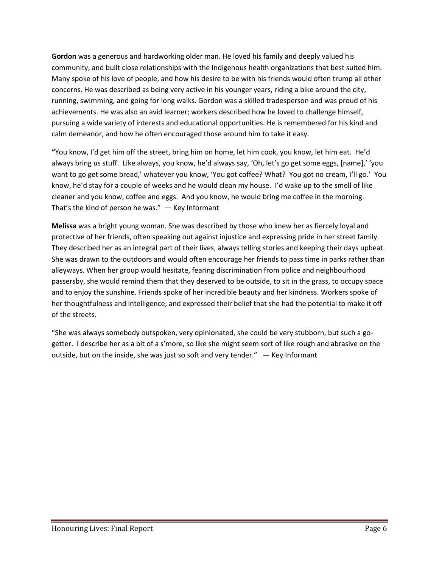**Gordon** was a generous and hardworking older man. He loved his family and deeply valued his community, and built close relationships with the Indigenous health organizations that best suited him. Many spoke of his love of people, and how his desire to be with his friends would often trump all other concerns. He was described as being very active in his younger years, riding a bike around the city, running, swimming, and going for long walks. Gordon was a skilled tradesperson and was proud of his achievements. He was also an avid learner; workers described how he loved to challenge himself, pursuing a wide variety of interests and educational opportunities. He is remembered for his kind and calm demeanor, and how he often encouraged those around him to take it easy.

**"**You know, I'd get him off the street, bring him on home, let him cook, you know, let him eat. He'd always bring us stuff. Like always, you know, he'd always say, 'Oh, let's go get some eggs, [name],' 'you want to go get some bread,' whatever you know, 'You got coffee? What? You got no cream, I'll go.' You know, he'd stay for a couple of weeks and he would clean my house. I'd wake up to the smell of like cleaner and you know, coffee and eggs. And you know, he would bring me coffee in the morning. That's the kind of person he was."  $-$  Key Informant

**Melissa** was a bright young woman. She was described by those who knew her as fiercely loyal and protective of her friends, often speaking out against injustice and expressing pride in her street family. They described her as an integral part of their lives, always telling stories and keeping their days upbeat. She was drawn to the outdoors and would often encourage her friends to pass time in parks rather than alleyways. When her group would hesitate, fearing discrimination from police and neighbourhood passersby, she would remind them that they deserved to be outside, to sit in the grass, to occupy space and to enjoy the sunshine. Friends spoke of her incredible beauty and her kindness. Workers spoke of her thoughtfulness and intelligence, and expressed their belief that she had the potential to make it off of the streets.

"She was always somebody outspoken, very opinionated, she could be very stubborn, but such a gogetter. I describe her as a bit of a s'more, so like she might seem sort of like rough and abrasive on the outside, but on the inside, she was just so soft and very tender." — Key Informant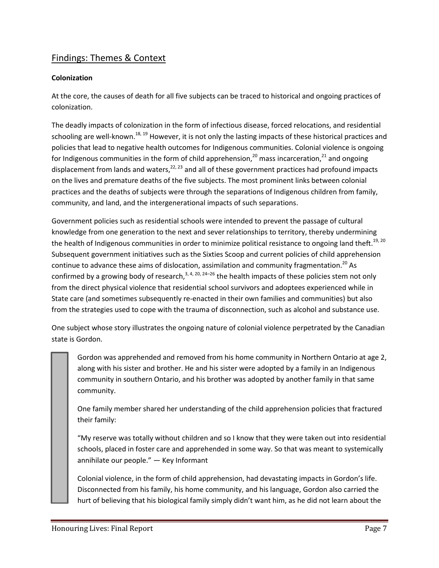# Findings: Themes & Context

#### **Colonization**

At the core, the causes of death for all five subjects can be traced to historical and ongoing practices of colonization.

The deadly impacts of colonization in the form of infectious disease, forced relocations, and residential schooling are well-known.<sup>18, 19</sup> However, it is not only the lasting impacts of these historical practices and policies that lead to negative health outcomes for Indigenous communities. Colonial violence is ongoing for Indigenous communities in the form of child apprehension,<sup>20</sup> mass incarceration,<sup>21</sup> and ongoing displacement from lands and waters,<sup>22, 23</sup> and all of these government practices had profound impacts on the lives and premature deaths of the five subjects. The most prominent links between colonial practices and the deaths of subjects were through the separations of Indigenous children from family, community, and land, and the intergenerational impacts of such separations.

Government policies such as residential schools were intended to prevent the passage of cultural knowledge from one generation to the next and sever relationships to territory, thereby undermining the health of Indigenous communities in order to minimize political resistance to ongoing land theft.<sup>19, 20</sup> Subsequent government initiatives such as the Sixties Scoop and current policies of child apprehension continue to advance these aims of dislocation, assimilation and community fragmentation.<sup>20</sup> As confirmed by a growing body of research,<sup>3, 4, 20, 24–26</sup> the health impacts of these policies stem not only from the direct physical violence that residential school survivors and adoptees experienced while in State care (and sometimes subsequently re-enacted in their own families and communities) but also from the strategies used to cope with the trauma of disconnection, such as alcohol and substance use.

One subject whose story illustrates the ongoing nature of colonial violence perpetrated by the Canadian state is Gordon.

Gordon was apprehended and removed from his home community in Northern Ontario at age 2, along with his sister and brother. He and his sister were adopted by a family in an Indigenous community in southern Ontario, and his brother was adopted by another family in that same community.

One family member shared her understanding of the child apprehension policies that fractured their family:

"My reserve was totally without children and so I know that they were taken out into residential schools, placed in foster care and apprehended in some way. So that was meant to systemically annihilate our people." — Key Informant

Colonial violence, in the form of child apprehension, had devastating impacts in Gordon's life. Disconnected from his family, his home community, and his language, Gordon also carried the hurt of believing that his biological family simply didn't want him, as he did not learn about the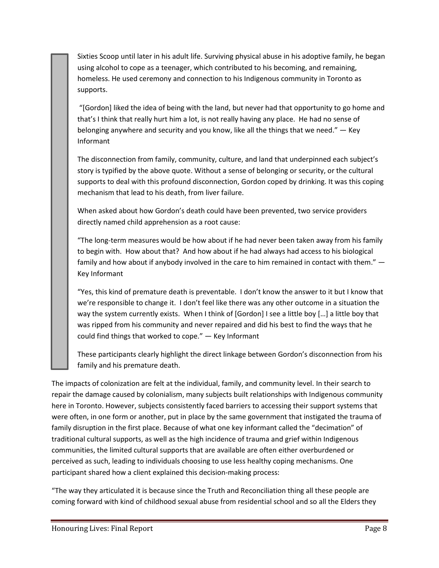Sixties Scoop until later in his adult life. Surviving physical abuse in his adoptive family, he began using alcohol to cope as a teenager, which contributed to his becoming, and remaining, homeless. He used ceremony and connection to his Indigenous community in Toronto as supports.

"[Gordon] liked the idea of being with the land, but never had that opportunity to go home and that's I think that really hurt him a lot, is not really having any place. He had no sense of belonging anywhere and security and you know, like all the things that we need." — Key Informant

The disconnection from family, community, culture, and land that underpinned each subject's story is typified by the above quote. Without a sense of belonging or security, or the cultural supports to deal with this profound disconnection, Gordon coped by drinking. It was this coping mechanism that lead to his death, from liver failure.

When asked about how Gordon's death could have been prevented, two service providers directly named child apprehension as a root cause:

"The long-term measures would be how about if he had never been taken away from his family to begin with. How about that? And how about if he had always had access to his biological family and how about if anybody involved in the care to him remained in contact with them." — Key Informant

"Yes, this kind of premature death is preventable. I don't know the answer to it but I know that we're responsible to change it. I don't feel like there was any other outcome in a situation the way the system currently exists. When I think of [Gordon] I see a little boy […] a little boy that was ripped from his community and never repaired and did his best to find the ways that he could find things that worked to cope." — Key Informant

These participants clearly highlight the direct linkage between Gordon's disconnection from his family and his premature death.

The impacts of colonization are felt at the individual, family, and community level. In their search to repair the damage caused by colonialism, many subjects built relationships with Indigenous community here in Toronto. However, subjects consistently faced barriers to accessing their support systems that were often, in one form or another, put in place by the same government that instigated the trauma of family disruption in the first place. Because of what one key informant called the "decimation" of traditional cultural supports, as well as the high incidence of trauma and grief within Indigenous communities, the limited cultural supports that are available are often either overburdened or perceived as such, leading to individuals choosing to use less healthy coping mechanisms. One participant shared how a client explained this decision-making process:

"The way they articulated it is because since the Truth and Reconciliation thing all these people are coming forward with kind of childhood sexual abuse from residential school and so all the Elders they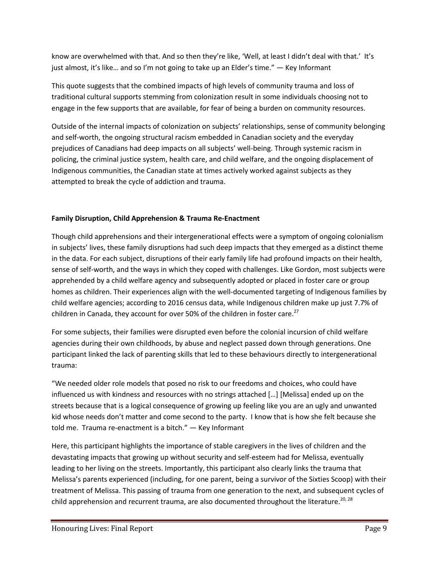know are overwhelmed with that. And so then they're like, 'Well, at least I didn't deal with that.' It's just almost, it's like… and so I'm not going to take up an Elder's time." — Key Informant

This quote suggests that the combined impacts of high levels of community trauma and loss of traditional cultural supports stemming from colonization result in some individuals choosing not to engage in the few supports that are available, for fear of being a burden on community resources.

Outside of the internal impacts of colonization on subjects' relationships, sense of community belonging and self-worth, the ongoing structural racism embedded in Canadian society and the everyday prejudices of Canadians had deep impacts on all subjects' well-being. Through systemic racism in policing, the criminal justice system, health care, and child welfare, and the ongoing displacement of Indigenous communities, the Canadian state at times actively worked against subjects as they attempted to break the cycle of addiction and trauma.

#### **Family Disruption, Child Apprehension & Trauma Re-Enactment**

Though child apprehensions and their intergenerational effects were a symptom of ongoing colonialism in subjects' lives, these family disruptions had such deep impacts that they emerged as a distinct theme in the data. For each subject, disruptions of their early family life had profound impacts on their health, sense of self-worth, and the ways in which they coped with challenges. Like Gordon, most subjects were apprehended by a child welfare agency and subsequently adopted or placed in foster care or group homes as children. Their experiences align with the well-documented targeting of Indigenous families by child welfare agencies; according to 2016 census data, while Indigenous children make up just 7.7% of children in Canada, they account for over 50% of the children in foster care.<sup>27</sup>

For some subjects, their families were disrupted even before the colonial incursion of child welfare agencies during their own childhoods, by abuse and neglect passed down through generations. One participant linked the lack of parenting skills that led to these behaviours directly to intergenerational trauma:

"We needed older role models that posed no risk to our freedoms and choices, who could have influenced us with kindness and resources with no strings attached […] [Melissa] ended up on the streets because that is a logical consequence of growing up feeling like you are an ugly and unwanted kid whose needs don't matter and come second to the party. I know that is how she felt because she told me. Trauma re-enactment is a bitch." — Key Informant

Here, this participant highlights the importance of stable caregivers in the lives of children and the devastating impacts that growing up without security and self-esteem had for Melissa, eventually leading to her living on the streets. Importantly, this participant also clearly links the trauma that Melissa's parents experienced (including, for one parent, being a survivor of the Sixties Scoop) with their treatment of Melissa. This passing of trauma from one generation to the next, and subsequent cycles of child apprehension and recurrent trauma, are also documented throughout the literature.<sup>20, 28</sup>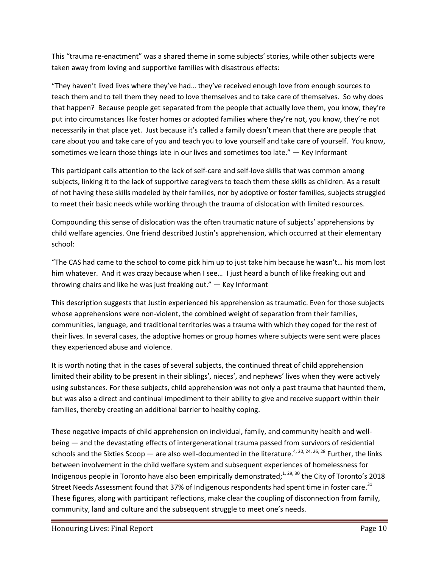This "trauma re-enactment" was a shared theme in some subjects' stories, while other subjects were taken away from loving and supportive families with disastrous effects:

"They haven't lived lives where they've had… they've received enough love from enough sources to teach them and to tell them they need to love themselves and to take care of themselves. So why does that happen? Because people get separated from the people that actually love them, you know, they're put into circumstances like foster homes or adopted families where they're not, you know, they're not necessarily in that place yet. Just because it's called a family doesn't mean that there are people that care about you and take care of you and teach you to love yourself and take care of yourself. You know, sometimes we learn those things late in our lives and sometimes too late." — Key Informant

This participant calls attention to the lack of self-care and self-love skills that was common among subjects, linking it to the lack of supportive caregivers to teach them these skills as children. As a result of not having these skills modeled by their families, nor by adoptive or foster families, subjects struggled to meet their basic needs while working through the trauma of dislocation with limited resources.

Compounding this sense of dislocation was the often traumatic nature of subjects' apprehensions by child welfare agencies. One friend described Justin's apprehension, which occurred at their elementary school:

"The CAS had came to the school to come pick him up to just take him because he wasn't… his mom lost him whatever. And it was crazy because when I see… I just heard a bunch of like freaking out and throwing chairs and like he was just freaking out."  $-$  Key Informant

This description suggests that Justin experienced his apprehension as traumatic. Even for those subjects whose apprehensions were non-violent, the combined weight of separation from their families, communities, language, and traditional territories was a trauma with which they coped for the rest of their lives. In several cases, the adoptive homes or group homes where subjects were sent were places they experienced abuse and violence.

It is worth noting that in the cases of several subjects, the continued threat of child apprehension limited their ability to be present in their siblings', nieces', and nephews' lives when they were actively using substances. For these subjects, child apprehension was not only a past trauma that haunted them, but was also a direct and continual impediment to their ability to give and receive support within their families, thereby creating an additional barrier to healthy coping.

These negative impacts of child apprehension on individual, family, and community health and wellbeing — and the devastating effects of intergenerational trauma passed from survivors of residential schools and the Sixties Scoop — are also well-documented in the literature.<sup>4, 20, 24, 26, 28</sup> Further, the links between involvement in the child welfare system and subsequent experiences of homelessness for Indigenous people in Toronto have also been empirically demonstrated;<sup>1, 29, 30</sup> the City of Toronto's 2018 Street Needs Assessment found that 37% of Indigenous respondents had spent time in foster care.<sup>31</sup> These figures, along with participant reflections, make clear the coupling of disconnection from family, community, land and culture and the subsequent struggle to meet one's needs.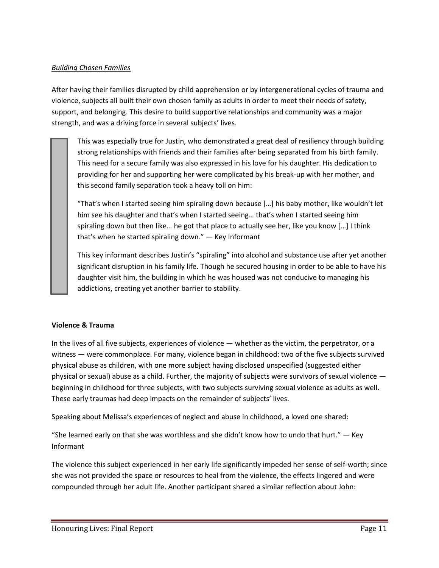#### *Building Chosen Families*

After having their families disrupted by child apprehension or by intergenerational cycles of trauma and violence, subjects all built their own chosen family as adults in order to meet their needs of safety, support, and belonging. This desire to build supportive relationships and community was a major strength, and was a driving force in several subjects' lives.

This was especially true for Justin, who demonstrated a great deal of resiliency through building strong relationships with friends and their families after being separated from his birth family. This need for a secure family was also expressed in his love for his daughter. His dedication to providing for her and supporting her were complicated by his break-up with her mother, and this second family separation took a heavy toll on him:

"That's when I started seeing him spiraling down because […] his baby mother, like wouldn't let him see his daughter and that's when I started seeing… that's when I started seeing him spiraling down but then like… he got that place to actually see her, like you know […] I think that's when he started spiraling down." — Key Informant

This key informant describes Justin's "spiraling" into alcohol and substance use after yet another significant disruption in his family life. Though he secured housing in order to be able to have his daughter visit him, the building in which he was housed was not conducive to managing his addictions, creating yet another barrier to stability.

#### **Violence & Trauma**

In the lives of all five subjects, experiences of violence — whether as the victim, the perpetrator, or a witness — were commonplace. For many, violence began in childhood: two of the five subjects survived physical abuse as children, with one more subject having disclosed unspecified (suggested either physical or sexual) abuse as a child. Further, the majority of subjects were survivors of sexual violence beginning in childhood for three subjects, with two subjects surviving sexual violence as adults as well. These early traumas had deep impacts on the remainder of subjects' lives.

Speaking about Melissa's experiences of neglect and abuse in childhood, a loved one shared:

"She learned early on that she was worthless and she didn't know how to undo that hurt."  $-$  Key Informant

The violence this subject experienced in her early life significantly impeded her sense of self-worth; since she was not provided the space or resources to heal from the violence, the effects lingered and were compounded through her adult life. Another participant shared a similar reflection about John: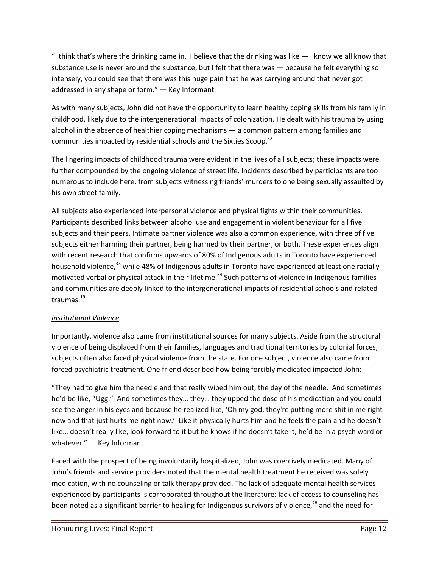"I think that's where the drinking came in. I believe that the drinking was like  $-1$  know we all know that substance use is never around the substance, but I felt that there was — because he felt everything so intensely, you could see that there was this huge pain that he was carrying around that never got addressed in any shape or form." — Key Informant

As with many subjects, John did not have the opportunity to learn healthy coping skills from his family in childhood, likely due to the intergenerational impacts of colonization. He dealt with his trauma by using alcohol in the absence of healthier coping mechanisms — a common pattern among families and communities impacted by residential schools and the Sixties Scoop.<sup>32</sup>

The lingering impacts of childhood trauma were evident in the lives of all subjects; these impacts were further compounded by the ongoing violence of street life. Incidents described by participants are too numerous to include here, from subjects witnessing friends' murders to one being sexually assaulted by his own street family.

All subjects also experienced interpersonal violence and physical fights within their communities. Participants described links between alcohol use and engagement in violent behaviour for all five subjects and their peers. Intimate partner violence was also a common experience, with three of five subjects either harming their partner, being harmed by their partner, or both. These experiences align with recent research that confirms upwards of 80% of Indigenous adults in Toronto have experienced household violence,<sup>33</sup> while 48% of Indigenous adults in Toronto have experienced at least one racially motivated verbal or physical attack in their lifetime.<sup>34</sup> Such patterns of violence in Indigenous families and communities are deeply linked to the intergenerational impacts of residential schools and related traumas. 19

# *Institutional Violence*

Importantly, violence also came from institutional sources for many subjects. Aside from the structural violence of being displaced from their families, languages and traditional territories by colonial forces, subjects often also faced physical violence from the state. For one subject, violence also came from forced psychiatric treatment. One friend described how being forcibly medicated impacted John:

"They had to give him the needle and that really wiped him out, the day of the needle. And sometimes he'd be like, "Ugg." And sometimes they… they… they upped the dose of his medication and you could see the anger in his eyes and because he realized like, 'Oh my god, they're putting more shit in me right now and that just hurts me right now.' Like it physically hurts him and he feels the pain and he doesn't like… doesn't really like, look forward to it but he knows if he doesn't take it, he'd be in a psych ward or whatever." — Key Informant

Faced with the prospect of being involuntarily hospitalized, John was coercively medicated. Many of John's friends and service providers noted that the mental health treatment he received was solely medication, with no counseling or talk therapy provided. The lack of adequate mental health services experienced by participants is corroborated throughout the literature: lack of access to counseling has been noted as a significant barrier to healing for Indigenous survivors of violence, <sup>26</sup> and the need for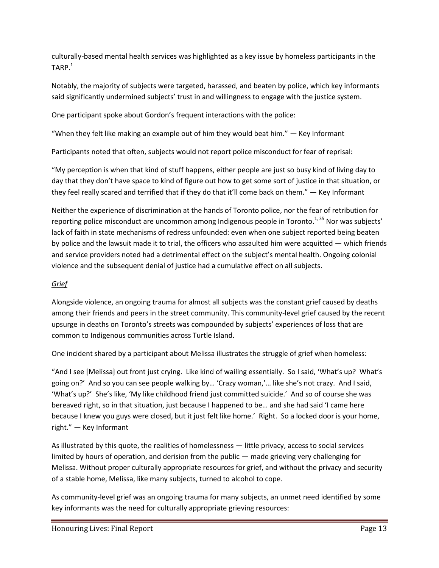culturally-based mental health services was highlighted as a key issue by homeless participants in the  $\mathsf{TARP.}^1$ 

Notably, the majority of subjects were targeted, harassed, and beaten by police, which key informants said significantly undermined subjects' trust in and willingness to engage with the justice system.

One participant spoke about Gordon's frequent interactions with the police:

"When they felt like making an example out of him they would beat him."  $-$  Key Informant

Participants noted that often, subjects would not report police misconduct for fear of reprisal:

"My perception is when that kind of stuff happens, either people are just so busy kind of living day to day that they don't have space to kind of figure out how to get some sort of justice in that situation, or they feel really scared and terrified that if they do that it'll come back on them." — Key Informant

Neither the experience of discrimination at the hands of Toronto police, nor the fear of retribution for reporting police misconduct are uncommon among Indigenous people in Toronto.<sup>1, 35</sup> Nor was subjects' lack of faith in state mechanisms of redress unfounded: even when one subject reported being beaten by police and the lawsuit made it to trial, the officers who assaulted him were acquitted — which friends and service providers noted had a detrimental effect on the subject's mental health. Ongoing colonial violence and the subsequent denial of justice had a cumulative effect on all subjects.

## *Grief*

Alongside violence, an ongoing trauma for almost all subjects was the constant grief caused by deaths among their friends and peers in the street community. This community-level grief caused by the recent upsurge in deaths on Toronto's streets was compounded by subjects' experiences of loss that are common to Indigenous communities across Turtle Island.

One incident shared by a participant about Melissa illustrates the struggle of grief when homeless:

"And I see [Melissa] out front just crying. Like kind of wailing essentially. So I said, 'What's up? What's going on?' And so you can see people walking by… 'Crazy woman,'… like she's not crazy. And I said, 'What's up?' She's like, 'My like childhood friend just committed suicide.' And so of course she was bereaved right, so in that situation, just because I happened to be… and she had said 'I came here because I knew you guys were closed, but it just felt like home.' Right. So a locked door is your home, right." — Key Informant

As illustrated by this quote, the realities of homelessness — little privacy, access to social services limited by hours of operation, and derision from the public — made grieving very challenging for Melissa. Without proper culturally appropriate resources for grief, and without the privacy and security of a stable home, Melissa, like many subjects, turned to alcohol to cope.

As community-level grief was an ongoing trauma for many subjects, an unmet need identified by some key informants was the need for culturally appropriate grieving resources: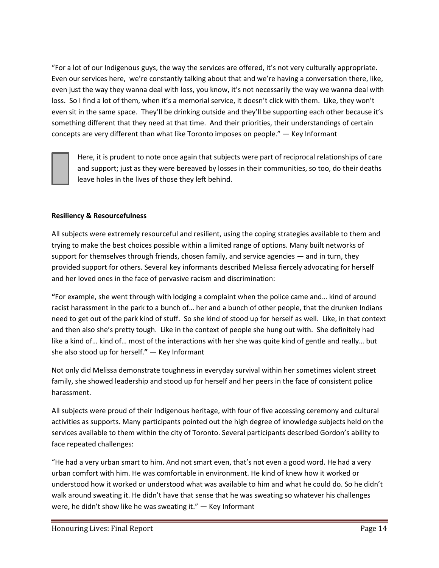"For a lot of our Indigenous guys, the way the services are offered, it's not very culturally appropriate. Even our services here, we're constantly talking about that and we're having a conversation there, like, even just the way they wanna deal with loss, you know, it's not necessarily the way we wanna deal with loss. So I find a lot of them, when it's a memorial service, it doesn't click with them. Like, they won't even sit in the same space. They'll be drinking outside and they'll be supporting each other because it's something different that they need at that time. And their priorities, their understandings of certain concepts are very different than what like Toronto imposes on people." — Key Informant

Here, it is prudent to note once again that subjects were part of reciprocal relationships of care and support; just as they were bereaved by losses in their communities, so too, do their deaths leave holes in the lives of those they left behind.

#### **Resiliency & Resourcefulness**

All subjects were extremely resourceful and resilient, using the coping strategies available to them and trying to make the best choices possible within a limited range of options. Many built networks of support for themselves through friends, chosen family, and service agencies — and in turn, they provided support for others. Several key informants described Melissa fiercely advocating for herself and her loved ones in the face of pervasive racism and discrimination:

**"**For example, she went through with lodging a complaint when the police came and… kind of around racist harassment in the park to a bunch of… her and a bunch of other people, that the drunken Indians need to get out of the park kind of stuff. So she kind of stood up for herself as well. Like, in that context and then also she's pretty tough. Like in the context of people she hung out with. She definitely had like a kind of… kind of… most of the interactions with her she was quite kind of gentle and really… but she also stood up for herself.**"** — Key Informant

Not only did Melissa demonstrate toughness in everyday survival within her sometimes violent street family, she showed leadership and stood up for herself and her peers in the face of consistent police harassment.

All subjects were proud of their Indigenous heritage, with four of five accessing ceremony and cultural activities as supports. Many participants pointed out the high degree of knowledge subjects held on the services available to them within the city of Toronto. Several participants described Gordon's ability to face repeated challenges:

"He had a very urban smart to him. And not smart even, that's not even a good word. He had a very urban comfort with him. He was comfortable in environment. He kind of knew how it worked or understood how it worked or understood what was available to him and what he could do. So he didn't walk around sweating it. He didn't have that sense that he was sweating so whatever his challenges were, he didn't show like he was sweating it." — Key Informant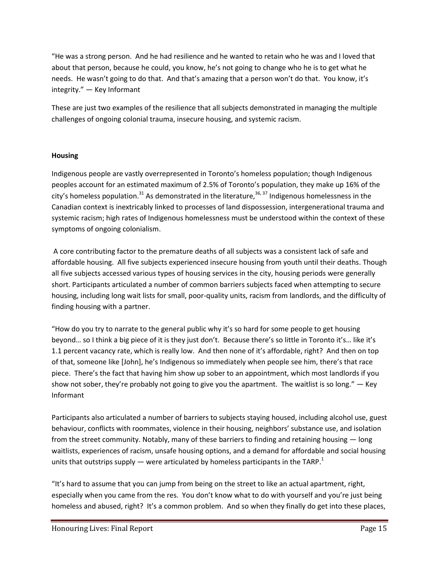"He was a strong person. And he had resilience and he wanted to retain who he was and I loved that about that person, because he could, you know, he's not going to change who he is to get what he needs. He wasn't going to do that. And that's amazing that a person won't do that. You know, it's integrity." — Key Informant

These are just two examples of the resilience that all subjects demonstrated in managing the multiple challenges of ongoing colonial trauma, insecure housing, and systemic racism.

#### **Housing**

Indigenous people are vastly overrepresented in Toronto's homeless population; though Indigenous peoples account for an estimated maximum of 2.5% of Toronto's population, they make up 16% of the city's homeless population.<sup>31</sup> As demonstrated in the literature,<sup>36,37</sup> Indigenous homelessness in the Canadian context is inextricably linked to processes of land dispossession, intergenerational trauma and systemic racism; high rates of Indigenous homelessness must be understood within the context of these symptoms of ongoing colonialism.

A core contributing factor to the premature deaths of all subjects was a consistent lack of safe and affordable housing. All five subjects experienced insecure housing from youth until their deaths. Though all five subjects accessed various types of housing services in the city, housing periods were generally short. Participants articulated a number of common barriers subjects faced when attempting to secure housing, including long wait lists for small, poor-quality units, racism from landlords, and the difficulty of finding housing with a partner.

"How do you try to narrate to the general public why it's so hard for some people to get housing beyond… so I think a big piece of it is they just don't. Because there's so little in Toronto it's… like it's 1.1 percent vacancy rate, which is really low. And then none of it's affordable, right? And then on top of that, someone like [John], he's Indigenous so immediately when people see him, there's that race piece. There's the fact that having him show up sober to an appointment, which most landlords if you show not sober, they're probably not going to give you the apartment. The waitlist is so long." — Key Informant

Participants also articulated a number of barriers to subjects staying housed, including alcohol use, guest behaviour, conflicts with roommates, violence in their housing, neighbors' substance use, and isolation from the street community. Notably, many of these barriers to finding and retaining housing — long waitlists, experiences of racism, unsafe housing options, and a demand for affordable and social housing units that outstrips supply — were articulated by homeless participants in the TARP.<sup>1</sup>

"It's hard to assume that you can jump from being on the street to like an actual apartment, right, especially when you came from the res. You don't know what to do with yourself and you're just being homeless and abused, right? It's a common problem. And so when they finally do get into these places,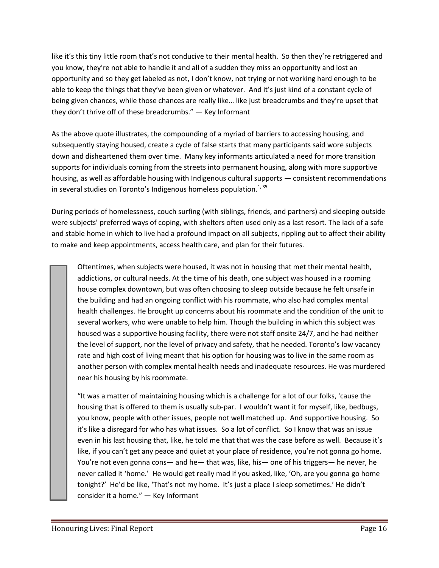like it's this tiny little room that's not conducive to their mental health. So then they're retriggered and you know, they're not able to handle it and all of a sudden they miss an opportunity and lost an opportunity and so they get labeled as not, I don't know, not trying or not working hard enough to be able to keep the things that they've been given or whatever. And it's just kind of a constant cycle of being given chances, while those chances are really like… like just breadcrumbs and they're upset that they don't thrive off of these breadcrumbs." — Key Informant

As the above quote illustrates, the compounding of a myriad of barriers to accessing housing, and subsequently staying housed, create a cycle of false starts that many participants said wore subjects down and disheartened them over time. Many key informants articulated a need for more transition supports for individuals coming from the streets into permanent housing, along with more supportive housing, as well as affordable housing with Indigenous cultural supports — consistent recommendations in several studies on Toronto's Indigenous homeless population. $^{1,35}$ 

During periods of homelessness, couch surfing (with siblings, friends, and partners) and sleeping outside were subjects' preferred ways of coping, with shelters often used only as a last resort. The lack of a safe and stable home in which to live had a profound impact on all subjects, rippling out to affect their ability to make and keep appointments, access health care, and plan for their futures.

Oftentimes, when subjects were housed, it was not in housing that met their mental health, addictions, or cultural needs. At the time of his death, one subject was housed in a rooming house complex downtown, but was often choosing to sleep outside because he felt unsafe in the building and had an ongoing conflict with his roommate, who also had complex mental health challenges. He brought up concerns about his roommate and the condition of the unit to several workers, who were unable to help him. Though the building in which this subject was housed was a supportive housing facility, there were not staff onsite 24/7, and he had neither the level of support, nor the level of privacy and safety, that he needed. Toronto's low vacancy rate and high cost of living meant that his option for housing was to live in the same room as another person with complex mental health needs and inadequate resources. He was murdered near his housing by his roommate.

"It was a matter of maintaining housing which is a challenge for a lot of our folks, 'cause the housing that is offered to them is usually sub-par. I wouldn't want it for myself, like, bedbugs, you know, people with other issues, people not well matched up. And supportive housing. So it's like a disregard for who has what issues. So a lot of conflict. So I know that was an issue even in his last housing that, like, he told me that that was the case before as well. Because it's like, if you can't get any peace and quiet at your place of residence, you're not gonna go home. You're not even gonna cons— and he— that was, like, his— one of his triggers— he never, he never called it 'home.' He would get really mad if you asked, like, 'Oh, are you gonna go home tonight?' He'd be like, 'That's not my home. It's just a place I sleep sometimes.' He didn't consider it a home." — Key Informant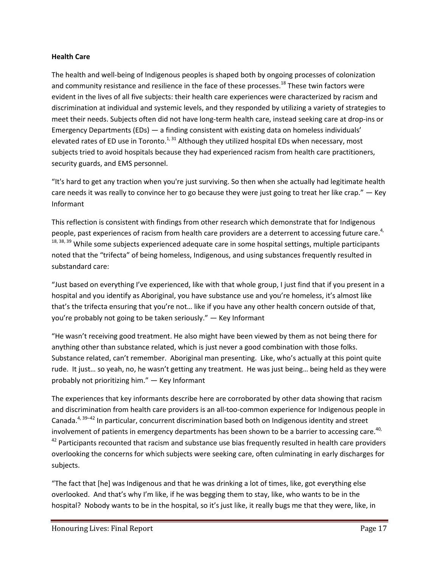#### **Health Care**

The health and well-being of Indigenous peoples is shaped both by ongoing processes of colonization and community resistance and resilience in the face of these processes.<sup>18</sup> These twin factors were evident in the lives of all five subjects: their health care experiences were characterized by racism and discrimination at individual and systemic levels, and they responded by utilizing a variety of strategies to meet their needs. Subjects often did not have long-term health care, instead seeking care at drop-ins or Emergency Departments (EDs) — a finding consistent with existing data on homeless individuals' elevated rates of ED use in Toronto.<sup>1, 31</sup> Although they utilized hospital EDs when necessary, most subjects tried to avoid hospitals because they had experienced racism from health care practitioners, security guards, and EMS personnel.

"It's hard to get any traction when you're just surviving. So then when she actually had legitimate health care needs it was really to convince her to go because they were just going to treat her like crap." — Key Informant

This reflection is consistent with findings from other research which demonstrate that for Indigenous people, past experiences of racism from health care providers are a deterrent to accessing future care.<sup>4,</sup> 18, 38, 39 While some subjects experienced adequate care in some hospital settings, multiple participants noted that the "trifecta" of being homeless, Indigenous, and using substances frequently resulted in substandard care:

"Just based on everything I've experienced, like with that whole group, I just find that if you present in a hospital and you identify as Aboriginal, you have substance use and you're homeless, it's almost like that's the trifecta ensuring that you're not… like if you have any other health concern outside of that, you're probably not going to be taken seriously." — Key Informant

"He wasn't receiving good treatment. He also might have been viewed by them as not being there for anything other than substance related, which is just never a good combination with those folks. Substance related, can't remember. Aboriginal man presenting. Like, who's actually at this point quite rude. It just… so yeah, no, he wasn't getting any treatment. He was just being… being held as they were probably not prioritizing him." — Key Informant

The experiences that key informants describe here are corroborated by other data showing that racism and discrimination from health care providers is an all-too-common experience for Indigenous people in Canada.<sup>4, 39–42</sup> In particular, concurrent discrimination based both on Indigenous identity and street involvement of patients in emergency departments has been shown to be a barrier to accessing care.<sup>40,</sup> <sup>42</sup> Participants recounted that racism and substance use bias frequently resulted in health care providers overlooking the concerns for which subjects were seeking care, often culminating in early discharges for subjects.

"The fact that [he] was Indigenous and that he was drinking a lot of times, like, got everything else overlooked. And that's why I'm like, if he was begging them to stay, like, who wants to be in the hospital? Nobody wants to be in the hospital, so it's just like, it really bugs me that they were, like, in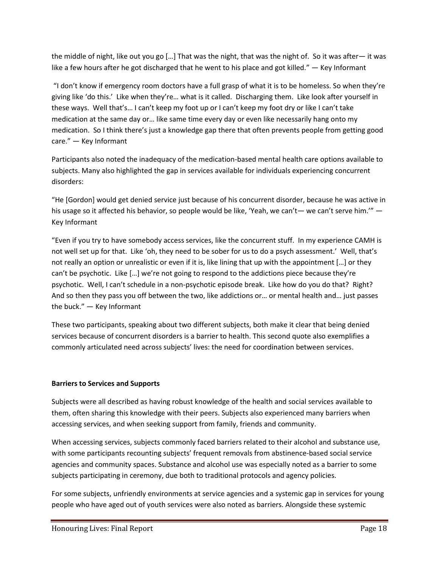the middle of night, like out you go […] That was the night, that was the night of. So it was after— it was like a few hours after he got discharged that he went to his place and got killed." — Key Informant

"I don't know if emergency room doctors have a full grasp of what it is to be homeless. So when they're giving like 'do this.' Like when they're… what is it called. Discharging them. Like look after yourself in these ways. Well that's… I can't keep my foot up or I can't keep my foot dry or like I can't take medication at the same day or… like same time every day or even like necessarily hang onto my medication. So I think there's just a knowledge gap there that often prevents people from getting good care." — Key Informant

Participants also noted the inadequacy of the medication-based mental health care options available to subjects. Many also highlighted the gap in services available for individuals experiencing concurrent disorders:

"He [Gordon] would get denied service just because of his concurrent disorder, because he was active in his usage so it affected his behavior, so people would be like, 'Yeah, we can't— we can't serve him.'" — Key Informant

"Even if you try to have somebody access services, like the concurrent stuff. In my experience CAMH is not well set up for that. Like 'oh, they need to be sober for us to do a psych assessment.' Well, that's not really an option or unrealistic or even if it is, like lining that up with the appointment […] or they can't be psychotic. Like […] we're not going to respond to the addictions piece because they're psychotic. Well, I can't schedule in a non-psychotic episode break. Like how do you do that? Right? And so then they pass you off between the two, like addictions or… or mental health and… just passes the buck." — Key Informant

These two participants, speaking about two different subjects, both make it clear that being denied services because of concurrent disorders is a barrier to health. This second quote also exemplifies a commonly articulated need across subjects' lives: the need for coordination between services.

#### **Barriers to Services and Supports**

Subjects were all described as having robust knowledge of the health and social services available to them, often sharing this knowledge with their peers. Subjects also experienced many barriers when accessing services, and when seeking support from family, friends and community.

When accessing services, subjects commonly faced barriers related to their alcohol and substance use, with some participants recounting subjects' frequent removals from abstinence-based social service agencies and community spaces. Substance and alcohol use was especially noted as a barrier to some subjects participating in ceremony, due both to traditional protocols and agency policies.

For some subjects, unfriendly environments at service agencies and a systemic gap in services for young people who have aged out of youth services were also noted as barriers. Alongside these systemic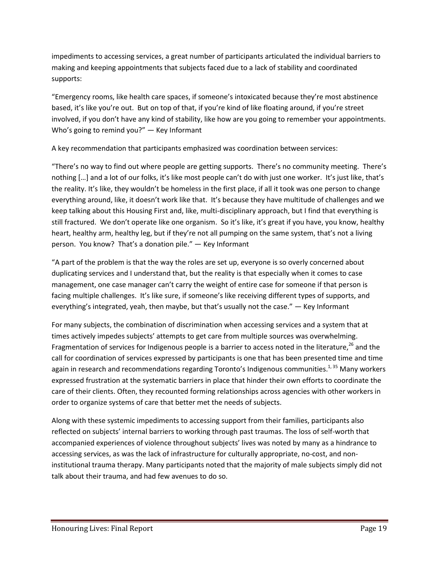impediments to accessing services, a great number of participants articulated the individual barriers to making and keeping appointments that subjects faced due to a lack of stability and coordinated supports:

"Emergency rooms, like health care spaces, if someone's intoxicated because they're most abstinence based, it's like you're out. But on top of that, if you're kind of like floating around, if you're street involved, if you don't have any kind of stability, like how are you going to remember your appointments. Who's going to remind you?" — Key Informant

A key recommendation that participants emphasized was coordination between services:

"There's no way to find out where people are getting supports. There's no community meeting. There's nothing […] and a lot of our folks, it's like most people can't do with just one worker. It's just like, that's the reality. It's like, they wouldn't be homeless in the first place, if all it took was one person to change everything around, like, it doesn't work like that. It's because they have multitude of challenges and we keep talking about this Housing First and, like, multi-disciplinary approach, but I find that everything is still fractured. We don't operate like one organism. So it's like, it's great if you have, you know, healthy heart, healthy arm, healthy leg, but if they're not all pumping on the same system, that's not a living person. You know? That's a donation pile." — Key Informant

"A part of the problem is that the way the roles are set up, everyone is so overly concerned about duplicating services and I understand that, but the reality is that especially when it comes to case management, one case manager can't carry the weight of entire case for someone if that person is facing multiple challenges. It's like sure, if someone's like receiving different types of supports, and everything's integrated, yeah, then maybe, but that's usually not the case." — Key Informant

For many subjects, the combination of discrimination when accessing services and a system that at times actively impedes subjects' attempts to get care from multiple sources was overwhelming. Fragmentation of services for Indigenous people is a barrier to access noted in the literature,<sup>26</sup> and the call for coordination of services expressed by participants is one that has been presented time and time again in research and recommendations regarding Toronto's Indigenous communities.<sup>1, 35</sup> Many workers expressed frustration at the systematic barriers in place that hinder their own efforts to coordinate the care of their clients. Often, they recounted forming relationships across agencies with other workers in order to organize systems of care that better met the needs of subjects.

Along with these systemic impediments to accessing support from their families, participants also reflected on subjects' internal barriers to working through past traumas. The loss of self-worth that accompanied experiences of violence throughout subjects' lives was noted by many as a hindrance to accessing services, as was the lack of infrastructure for culturally appropriate, no-cost, and noninstitutional trauma therapy. Many participants noted that the majority of male subjects simply did not talk about their trauma, and had few avenues to do so.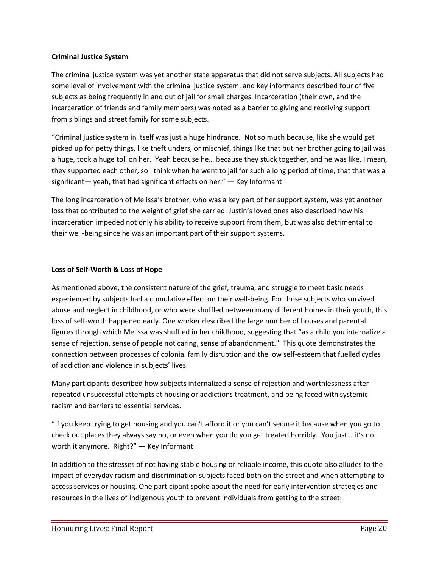#### **Criminal Justice System**

The criminal justice system was yet another state apparatus that did not serve subjects. All subjects had some level of involvement with the criminal justice system, and key informants described four of five subjects as being frequently in and out of jail for small charges. Incarceration (their own, and the incarceration of friends and family members) was noted as a barrier to giving and receiving support from siblings and street family for some subjects.

"Criminal justice system in itself was just a huge hindrance. Not so much because, like she would get picked up for petty things, like theft unders, or mischief, things like that but her brother going to jail was a huge, took a huge toll on her. Yeah because he… because they stuck together, and he was like, I mean, they supported each other, so I think when he went to jail for such a long period of time, that that was a significant— yeah, that had significant effects on her." — Key Informant

The long incarceration of Melissa's brother, who was a key part of her support system, was yet another loss that contributed to the weight of grief she carried. Justin's loved ones also described how his incarceration impeded not only his ability to receive support from them, but was also detrimental to their well-being since he was an important part of their support systems.

#### **Loss of Self-Worth & Loss of Hope**

As mentioned above, the consistent nature of the grief, trauma, and struggle to meet basic needs experienced by subjects had a cumulative effect on their well-being. For those subjects who survived abuse and neglect in childhood, or who were shuffled between many different homes in their youth, this loss of self-worth happened early. One worker described the large number of houses and parental figures through which Melissa was shuffled in her childhood, suggesting that "as a child you internalize a sense of rejection, sense of people not caring, sense of abandonment." This quote demonstrates the connection between processes of colonial family disruption and the low self-esteem that fuelled cycles of addiction and violence in subjects' lives.

Many participants described how subjects internalized a sense of rejection and worthlessness after repeated unsuccessful attempts at housing or addictions treatment, and being faced with systemic racism and barriers to essential services.

"If you keep trying to get housing and you can't afford it or you can't secure it because when you go to check out places they always say no, or even when you do you get treated horribly. You just… it's not worth it anymore. Right?" — Key Informant

In addition to the stresses of not having stable housing or reliable income, this quote also alludes to the impact of everyday racism and discrimination subjects faced both on the street and when attempting to access services or housing. One participant spoke about the need for early intervention strategies and resources in the lives of Indigenous youth to prevent individuals from getting to the street: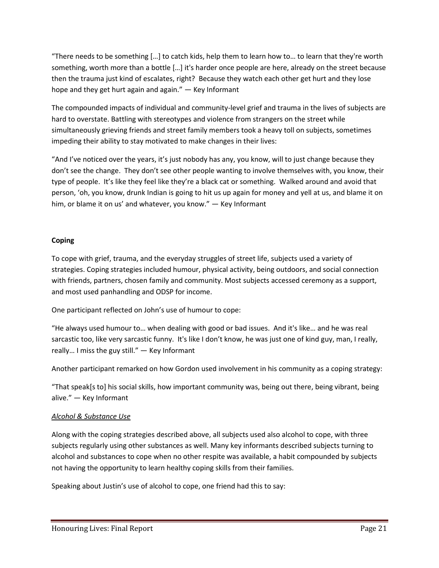"There needs to be something […] to catch kids, help them to learn how to… to learn that they're worth something, worth more than a bottle […] it's harder once people are here, already on the street because then the trauma just kind of escalates, right? Because they watch each other get hurt and they lose hope and they get hurt again and again." — Key Informant

The compounded impacts of individual and community-level grief and trauma in the lives of subjects are hard to overstate. Battling with stereotypes and violence from strangers on the street while simultaneously grieving friends and street family members took a heavy toll on subjects, sometimes impeding their ability to stay motivated to make changes in their lives:

"And I've noticed over the years, it's just nobody has any, you know, will to just change because they don't see the change. They don't see other people wanting to involve themselves with, you know, their type of people. It's like they feel like they're a black cat or something. Walked around and avoid that person, 'oh, you know, drunk Indian is going to hit us up again for money and yell at us, and blame it on him, or blame it on us' and whatever, you know." — Key Informant

## **Coping**

To cope with grief, trauma, and the everyday struggles of street life, subjects used a variety of strategies. Coping strategies included humour, physical activity, being outdoors, and social connection with friends, partners, chosen family and community. Most subjects accessed ceremony as a support, and most used panhandling and ODSP for income.

One participant reflected on John's use of humour to cope:

"He always used humour to… when dealing with good or bad issues. And it's like… and he was real sarcastic too, like very sarcastic funny. It's like I don't know, he was just one of kind guy, man, I really, really… I miss the guy still." — Key Informant

Another participant remarked on how Gordon used involvement in his community as a coping strategy:

"That speak[s to] his social skills, how important community was, being out there, being vibrant, being alive." — Key Informant

# *Alcohol & Substance Use*

Along with the coping strategies described above, all subjects used also alcohol to cope, with three subjects regularly using other substances as well. Many key informants described subjects turning to alcohol and substances to cope when no other respite was available, a habit compounded by subjects not having the opportunity to learn healthy coping skills from their families.

Speaking about Justin's use of alcohol to cope, one friend had this to say: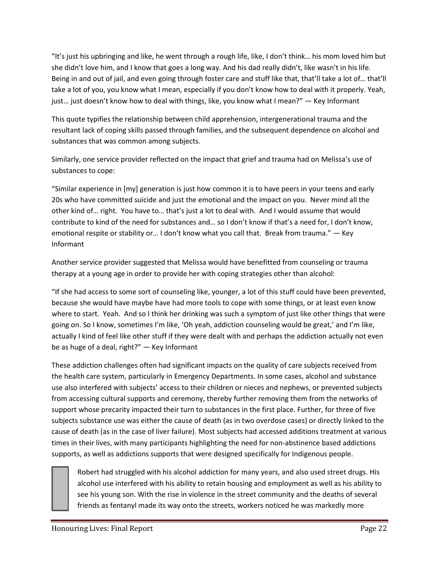"It's just his upbringing and like, he went through a rough life, like, I don't think… his mom loved him but she didn't love him, and I know that goes a long way. And his dad really didn't, like wasn't in his life. Being in and out of jail, and even going through foster care and stuff like that, that'll take a lot of… that'll take a lot of you, you know what I mean, especially if you don't know how to deal with it properly. Yeah, just… just doesn't know how to deal with things, like, you know what I mean?" — Key Informant

This quote typifies the relationship between child apprehension, intergenerational trauma and the resultant lack of coping skills passed through families, and the subsequent dependence on alcohol and substances that was common among subjects.

Similarly, one service provider reflected on the impact that grief and trauma had on Melissa's use of substances to cope:

"Similar experience in [my] generation is just how common it is to have peers in your teens and early 20s who have committed suicide and just the emotional and the impact on you. Never mind all the other kind of… right. You have to… that's just a lot to deal with. And I would assume that would contribute to kind of the need for substances and… so I don't know if that's a need for, I don't know, emotional respite or stability or… I don't know what you call that. Break from trauma." — Key Informant

Another service provider suggested that Melissa would have benefitted from counseling or trauma therapy at a young age in order to provide her with coping strategies other than alcohol:

"If she had access to some sort of counseling like, younger, a lot of this stuff could have been prevented, because she would have maybe have had more tools to cope with some things, or at least even know where to start. Yeah. And so I think her drinking was such a symptom of just like other things that were going on. So I know, sometimes I'm like, 'Oh yeah, addiction counseling would be great,' and I'm like, actually I kind of feel like other stuff if they were dealt with and perhaps the addiction actually not even be as huge of a deal, right?" — Key Informant

These addiction challenges often had significant impacts on the quality of care subjects received from the health care system, particularly in Emergency Departments. In some cases, alcohol and substance use also interfered with subjects' access to their children or nieces and nephews, or prevented subjects from accessing cultural supports and ceremony, thereby further removing them from the networks of support whose precarity impacted their turn to substances in the first place. Further, for three of five subjects substance use was either the cause of death (as in two overdose cases) or directly linked to the cause of death (as in the case of liver failure). Most subjects had accessed additions treatment at various times in their lives, with many participants highlighting the need for non-abstinence based addictions supports, as well as addictions supports that were designed specifically for Indigenous people.

Robert had struggled with his alcohol addiction for many years, and also used street drugs. His alcohol use interfered with his ability to retain housing and employment as well as his ability to see his young son. With the rise in violence in the street community and the deaths of several friends as fentanyl made its way onto the streets, workers noticed he was markedly more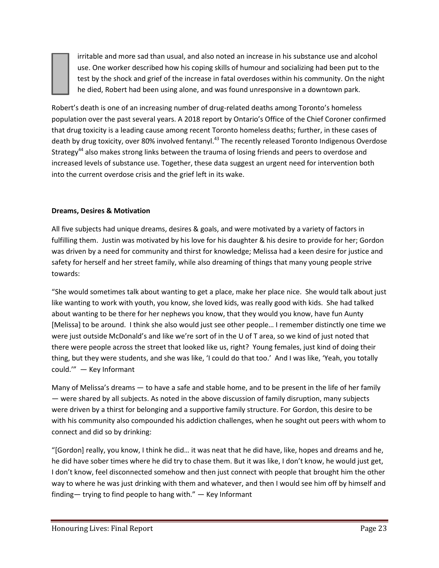irritable and more sad than usual, and also noted an increase in his substance use and alcohol use. One worker described how his coping skills of humour and socializing had been put to the test by the shock and grief of the increase in fatal overdoses within his community. On the night he died, Robert had been using alone, and was found unresponsive in a downtown park.

Robert's death is one of an increasing number of drug-related deaths among Toronto's homeless population over the past several years. A 2018 report by Ontario's Office of the Chief Coroner confirmed that drug toxicity is a leading cause among recent Toronto homeless deaths; further, in these cases of death by drug toxicity, over 80% involved fentanyl.<sup>43</sup> The recently released Toronto Indigenous Overdose Strategy<sup>44</sup> also makes strong links between the trauma of losing friends and peers to overdose and increased levels of substance use. Together, these data suggest an urgent need for intervention both into the current overdose crisis and the grief left in its wake.

## **Dreams, Desires & Motivation**

All five subjects had unique dreams, desires & goals, and were motivated by a variety of factors in fulfilling them. Justin was motivated by his love for his daughter & his desire to provide for her; Gordon was driven by a need for community and thirst for knowledge; Melissa had a keen desire for justice and safety for herself and her street family, while also dreaming of things that many young people strive towards:

"She would sometimes talk about wanting to get a place, make her place nice. She would talk about just like wanting to work with youth, you know, she loved kids, was really good with kids. She had talked about wanting to be there for her nephews you know, that they would you know, have fun Aunty [Melissa] to be around. I think she also would just see other people… I remember distinctly one time we were just outside McDonald's and like we're sort of in the U of T area, so we kind of just noted that there were people across the street that looked like us, right? Young females, just kind of doing their thing, but they were students, and she was like, 'I could do that too.' And I was like, 'Yeah, you totally could.'" — Key Informant

Many of Melissa's dreams — to have a safe and stable home, and to be present in the life of her family — were shared by all subjects. As noted in the above discussion of family disruption, many subjects were driven by a thirst for belonging and a supportive family structure. For Gordon, this desire to be with his community also compounded his addiction challenges, when he sought out peers with whom to connect and did so by drinking:

"[Gordon] really, you know, I think he did… it was neat that he did have, like, hopes and dreams and he, he did have sober times where he did try to chase them. But it was like, I don't know, he would just get, I don't know, feel disconnected somehow and then just connect with people that brought him the other way to where he was just drinking with them and whatever, and then I would see him off by himself and finding— trying to find people to hang with." — Key Informant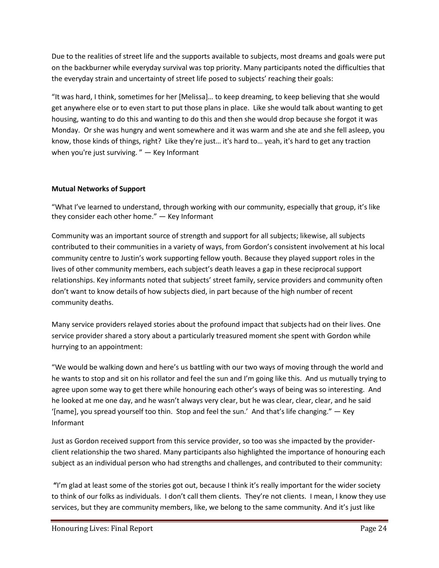Due to the realities of street life and the supports available to subjects, most dreams and goals were put on the backburner while everyday survival was top priority. Many participants noted the difficulties that the everyday strain and uncertainty of street life posed to subjects' reaching their goals:

"It was hard, I think, sometimes for her [Melissa]… to keep dreaming, to keep believing that she would get anywhere else or to even start to put those plans in place. Like she would talk about wanting to get housing, wanting to do this and wanting to do this and then she would drop because she forgot it was Monday. Or she was hungry and went somewhere and it was warm and she ate and she fell asleep, you know, those kinds of things, right? Like they're just… it's hard to… yeah, it's hard to get any traction when you're just surviving. " - Key Informant

#### **Mutual Networks of Support**

"What I've learned to understand, through working with our community, especially that group, it's like they consider each other home." — Key Informant

Community was an important source of strength and support for all subjects; likewise, all subjects contributed to their communities in a variety of ways, from Gordon's consistent involvement at his local community centre to Justin's work supporting fellow youth. Because they played support roles in the lives of other community members, each subject's death leaves a gap in these reciprocal support relationships. Key informants noted that subjects' street family, service providers and community often don't want to know details of how subjects died, in part because of the high number of recent community deaths.

Many service providers relayed stories about the profound impact that subjects had on their lives. One service provider shared a story about a particularly treasured moment she spent with Gordon while hurrying to an appointment:

"We would be walking down and here's us battling with our two ways of moving through the world and he wants to stop and sit on his rollator and feel the sun and I'm going like this. And us mutually trying to agree upon some way to get there while honouring each other's ways of being was so interesting. And he looked at me one day, and he wasn't always very clear, but he was clear, clear, clear, and he said '[name], you spread yourself too thin. Stop and feel the sun.' And that's life changing." — Key Informant

Just as Gordon received support from this service provider, so too was she impacted by the providerclient relationship the two shared. Many participants also highlighted the importance of honouring each subject as an individual person who had strengths and challenges, and contributed to their community:

**"**I'm glad at least some of the stories got out, because I think it's really important for the wider society to think of our folks as individuals. I don't call them clients. They're not clients. I mean, I know they use services, but they are community members, like, we belong to the same community. And it's just like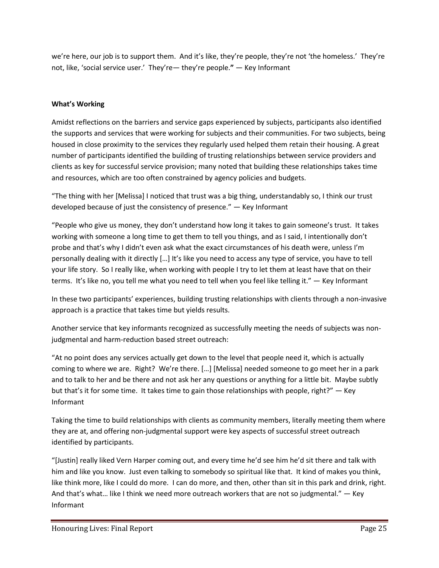we're here, our job is to support them. And it's like, they're people, they're not 'the homeless.' They're not, like, 'social service user.' They're— they're people.**"** — Key Informant

#### **What's Working**

Amidst reflections on the barriers and service gaps experienced by subjects, participants also identified the supports and services that were working for subjects and their communities. For two subjects, being housed in close proximity to the services they regularly used helped them retain their housing. A great number of participants identified the building of trusting relationships between service providers and clients as key for successful service provision; many noted that building these relationships takes time and resources, which are too often constrained by agency policies and budgets.

"The thing with her [Melissa] I noticed that trust was a big thing, understandably so, I think our trust developed because of just the consistency of presence." — Key Informant

"People who give us money, they don't understand how long it takes to gain someone's trust. It takes working with someone a long time to get them to tell you things, and as I said, I intentionally don't probe and that's why I didn't even ask what the exact circumstances of his death were, unless I'm personally dealing with it directly […] It's like you need to access any type of service, you have to tell your life story. So I really like, when working with people I try to let them at least have that on their terms. It's like no, you tell me what you need to tell when you feel like telling it." — Key Informant

In these two participants' experiences, building trusting relationships with clients through a non-invasive approach is a practice that takes time but yields results.

Another service that key informants recognized as successfully meeting the needs of subjects was nonjudgmental and harm-reduction based street outreach:

"At no point does any services actually get down to the level that people need it, which is actually coming to where we are. Right? We're there. […] [Melissa] needed someone to go meet her in a park and to talk to her and be there and not ask her any questions or anything for a little bit. Maybe subtly but that's it for some time. It takes time to gain those relationships with people, right?" — Key Informant

Taking the time to build relationships with clients as community members, literally meeting them where they are at, and offering non-judgmental support were key aspects of successful street outreach identified by participants.

"[Justin] really liked Vern Harper coming out, and every time he'd see him he'd sit there and talk with him and like you know. Just even talking to somebody so spiritual like that. It kind of makes you think, like think more, like I could do more. I can do more, and then, other than sit in this park and drink, right. And that's what... like I think we need more outreach workers that are not so judgmental."  $-$  Key Informant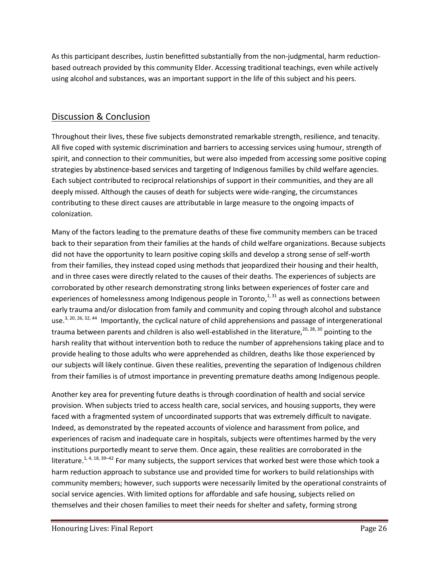As this participant describes, Justin benefitted substantially from the non-judgmental, harm reductionbased outreach provided by this community Elder. Accessing traditional teachings, even while actively using alcohol and substances, was an important support in the life of this subject and his peers.

# Discussion & Conclusion

Throughout their lives, these five subjects demonstrated remarkable strength, resilience, and tenacity. All five coped with systemic discrimination and barriers to accessing services using humour, strength of spirit, and connection to their communities, but were also impeded from accessing some positive coping strategies by abstinence-based services and targeting of Indigenous families by child welfare agencies. Each subject contributed to reciprocal relationships of support in their communities, and they are all deeply missed. Although the causes of death for subjects were wide-ranging, the circumstances contributing to these direct causes are attributable in large measure to the ongoing impacts of colonization.

Many of the factors leading to the premature deaths of these five community members can be traced back to their separation from their families at the hands of child welfare organizations. Because subjects did not have the opportunity to learn positive coping skills and develop a strong sense of self-worth from their families, they instead coped using methods that jeopardized their housing and their health, and in three cases were directly related to the causes of their deaths. The experiences of subjects are corroborated by other research demonstrating strong links between experiences of foster care and experiences of homelessness among Indigenous people in Toronto, $1,31$  as well as connections between early trauma and/or dislocation from family and community and coping through alcohol and substance use.<sup>3, 20, 26, 32, 44</sup> Importantly, the cyclical nature of child apprehensions and passage of intergenerational trauma between parents and children is also well-established in the literature,<sup>20, 28, 30</sup> pointing to the harsh reality that without intervention both to reduce the number of apprehensions taking place and to provide healing to those adults who were apprehended as children, deaths like those experienced by our subjects will likely continue. Given these realities, preventing the separation of Indigenous children from their families is of utmost importance in preventing premature deaths among Indigenous people.

Another key area for preventing future deaths is through coordination of health and social service provision. When subjects tried to access health care, social services, and housing supports, they were faced with a fragmented system of uncoordinated supports that was extremely difficult to navigate. Indeed, as demonstrated by the repeated accounts of violence and harassment from police, and experiences of racism and inadequate care in hospitals, subjects were oftentimes harmed by the very institutions purportedly meant to serve them. Once again, these realities are corroborated in the literature.<sup>1, 4, 18, 39–42</sup> For many subjects, the support services that worked best were those which took a harm reduction approach to substance use and provided time for workers to build relationships with community members; however, such supports were necessarily limited by the operational constraints of social service agencies. With limited options for affordable and safe housing, subjects relied on themselves and their chosen families to meet their needs for shelter and safety, forming strong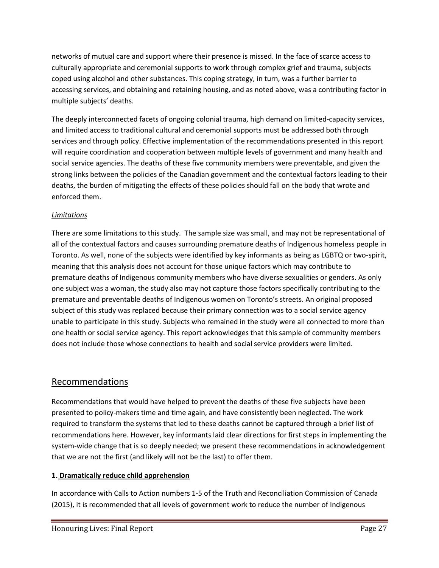networks of mutual care and support where their presence is missed. In the face of scarce access to culturally appropriate and ceremonial supports to work through complex grief and trauma, subjects coped using alcohol and other substances. This coping strategy, in turn, was a further barrier to accessing services, and obtaining and retaining housing, and as noted above, was a contributing factor in multiple subjects' deaths.

The deeply interconnected facets of ongoing colonial trauma, high demand on limited-capacity services, and limited access to traditional cultural and ceremonial supports must be addressed both through services and through policy. Effective implementation of the recommendations presented in this report will require coordination and cooperation between multiple levels of government and many health and social service agencies. The deaths of these five community members were preventable, and given the strong links between the policies of the Canadian government and the contextual factors leading to their deaths, the burden of mitigating the effects of these policies should fall on the body that wrote and enforced them.

# *Limitations*

There are some limitations to this study. The sample size was small, and may not be representational of all of the contextual factors and causes surrounding premature deaths of Indigenous homeless people in Toronto. As well, none of the subjects were identified by key informants as being as LGBTQ or two-spirit, meaning that this analysis does not account for those unique factors which may contribute to premature deaths of Indigenous community members who have diverse sexualities or genders. As only one subject was a woman, the study also may not capture those factors specifically contributing to the premature and preventable deaths of Indigenous women on Toronto's streets. An original proposed subject of this study was replaced because their primary connection was to a social service agency unable to participate in this study. Subjects who remained in the study were all connected to more than one health or social service agency. This report acknowledges that this sample of community members does not include those whose connections to health and social service providers were limited.

# Recommendations

Recommendations that would have helped to prevent the deaths of these five subjects have been presented to policy-makers time and time again, and have consistently been neglected. The work required to transform the systems that led to these deaths cannot be captured through a brief list of recommendations here. However, key informants laid clear directions for first steps in implementing the system-wide change that is so deeply needed; we present these recommendations in acknowledgement that we are not the first (and likely will not be the last) to offer them.

# **1. Dramatically reduce child apprehension**

In accordance with Calls to Action numbers 1-5 of the Truth and Reconciliation Commission of Canada (2015), it is recommended that all levels of government work to reduce the number of Indigenous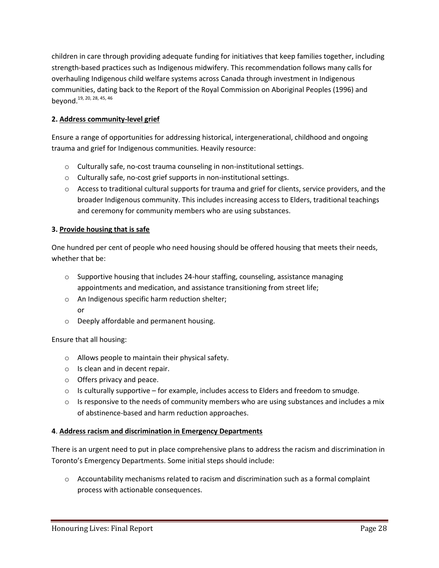children in care through providing adequate funding for initiatives that keep families together, including strength-based practices such as Indigenous midwifery. This recommendation follows many calls for overhauling Indigenous child welfare systems across Canada through investment in Indigenous communities, dating back to the Report of the Royal Commission on Aboriginal Peoples (1996) and beyond. <sup>19, 20, 28, 45, 46</sup>

## **2. Address community-level grief**

Ensure a range of opportunities for addressing historical, intergenerational, childhood and ongoing trauma and grief for Indigenous communities. Heavily resource:

- o Culturally safe, no-cost trauma counseling in non-institutional settings.
- o Culturally safe, no-cost grief supports in non-institutional settings.
- o Access to traditional cultural supports for trauma and grief for clients, service providers, and the broader Indigenous community. This includes increasing access to Elders, traditional teachings and ceremony for community members who are using substances.

#### **3. Provide housing that is safe**

One hundred per cent of people who need housing should be offered housing that meets their needs, whether that be:

- $\circ$  Supportive housing that includes 24-hour staffing, counseling, assistance managing appointments and medication, and assistance transitioning from street life;
- o An Indigenous specific harm reduction shelter; or
- o Deeply affordable and permanent housing.

#### Ensure that all housing:

- o Allows people to maintain their physical safety.
- o Is clean and in decent repair.
- o Offers privacy and peace.
- $\circ$  Is culturally supportive for example, includes access to Elders and freedom to smudge.
- $\circ$  Is responsive to the needs of community members who are using substances and includes a mix of abstinence-based and harm reduction approaches.

#### **4**. **Address racism and discrimination in Emergency Departments**

There is an urgent need to put in place comprehensive plans to address the racism and discrimination in Toronto's Emergency Departments. Some initial steps should include:

 $\circ$  Accountability mechanisms related to racism and discrimination such as a formal complaint process with actionable consequences.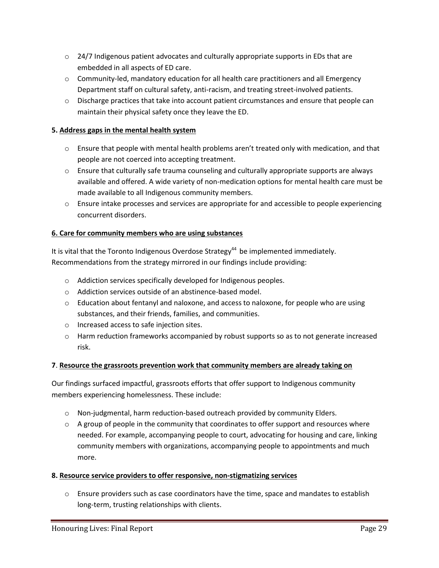- $\circ$  24/7 Indigenous patient advocates and culturally appropriate supports in EDs that are embedded in all aspects of ED care.
- o Community-led, mandatory education for all health care practitioners and all Emergency Department staff on cultural safety, anti-racism, and treating street-involved patients.
- o Discharge practices that take into account patient circumstances and ensure that people can maintain their physical safety once they leave the ED.

## **5. Address gaps in the mental health system**

- $\circ$  Ensure that people with mental health problems aren't treated only with medication, and that people are not coerced into accepting treatment.
- $\circ$  Ensure that culturally safe trauma counseling and culturally appropriate supports are always available and offered. A wide variety of non-medication options for mental health care must be made available to all Indigenous community members.
- o Ensure intake processes and services are appropriate for and accessible to people experiencing concurrent disorders.

## **6. Care for community members who are using substances**

It is vital that the Toronto Indigenous Overdose Strategy<sup>44</sup> be implemented immediately. Recommendations from the strategy mirrored in our findings include providing:

- o Addiction services specifically developed for Indigenous peoples.
- o Addiction services outside of an abstinence-based model.
- o Education about fentanyl and naloxone, and access to naloxone, for people who are using substances, and their friends, families, and communities.
- o Increased access to safe injection sites.
- $\circ$  Harm reduction frameworks accompanied by robust supports so as to not generate increased risk.

#### **7**. **Resource the grassroots prevention work that community members are already taking on**

Our findings surfaced impactful, grassroots efforts that offer support to Indigenous community members experiencing homelessness. These include:

- $\circ$  Non-judgmental, harm reduction-based outreach provided by community Elders.
- $\circ$  A group of people in the community that coordinates to offer support and resources where needed. For example, accompanying people to court, advocating for housing and care, linking community members with organizations, accompanying people to appointments and much more.

#### **8. Resource service providers to offer responsive, non-stigmatizing services**

 $\circ$  Ensure providers such as case coordinators have the time, space and mandates to establish long-term, trusting relationships with clients.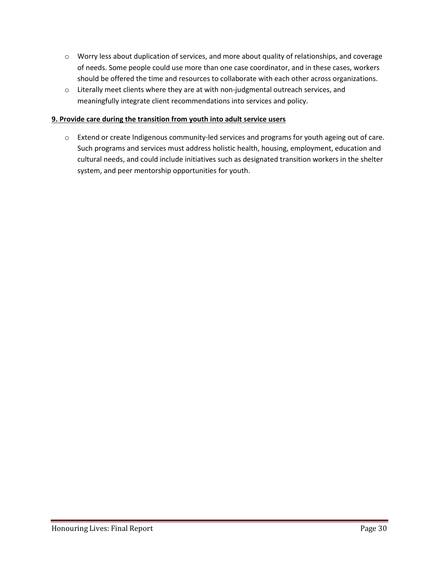- o Worry less about duplication of services, and more about quality of relationships, and coverage of needs. Some people could use more than one case coordinator, and in these cases, workers should be offered the time and resources to collaborate with each other across organizations.
- $\circ$  Literally meet clients where they are at with non-judgmental outreach services, and meaningfully integrate client recommendations into services and policy.

#### **9. Provide care during the transition from youth into adult service users**

o Extend or create Indigenous community-led services and programs for youth ageing out of care. Such programs and services must address holistic health, housing, employment, education and cultural needs, and could include initiatives such as designated transition workers in the shelter system, and peer mentorship opportunities for youth.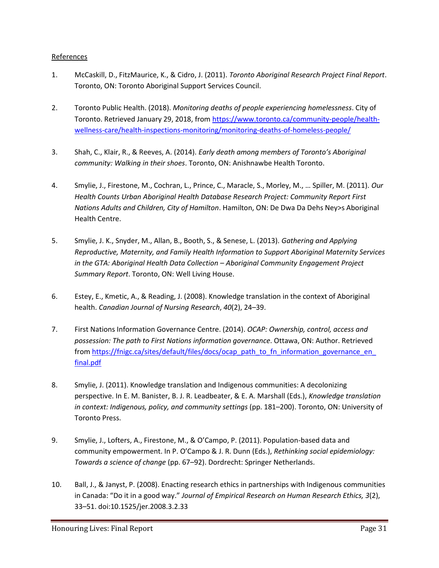#### References

- 1. McCaskill, D., FitzMaurice, K., & Cidro, J. (2011). *Toronto Aboriginal Research Project Final Report*. Toronto, ON: Toronto Aboriginal Support Services Council.
- 2. Toronto Public Health. (2018). *Monitoring deaths of people experiencing homelessness*. City of Toronto. Retrieved January 29, 2018, from [https://www.toronto.ca/community-people/health](https://www.toronto.ca/community-people/health-wellness-care/health-inspections-monitoring/monitoring-deaths-of-homeless-people/)[wellness-care/health-inspections-monitoring/monitoring-deaths-of-homeless-people/](https://www.toronto.ca/community-people/health-wellness-care/health-inspections-monitoring/monitoring-deaths-of-homeless-people/)
- 3. Shah, C., Klair, R., & Reeves, A. (2014). *Early death among members of Toronto's Aboriginal community: Walking in their shoes*. Toronto, ON: Anishnawbe Health Toronto.
- 4. Smylie, J., Firestone, M., Cochran, L., Prince, C., Maracle, S., Morley, M., … Spiller, M. (2011). *Our Health Counts Urban Aboriginal Health Database Research Project: Community Report First Nations Adults and Children, City of Hamilton*. Hamilton, ON: De Dwa Da Dehs Ney>s Aboriginal Health Centre.
- 5. Smylie, J. K., Snyder, M., Allan, B., Booth, S., & Senese, L. (2013). *Gathering and Applying Reproductive, Maternity, and Family Health Information to Support Aboriginal Maternity Services in the GTA: Aboriginal Health Data Collection – Aboriginal Community Engagement Project Summary Report*. Toronto, ON: Well Living House.
- 6. Estey, E., Kmetic, A., & Reading, J. (2008). Knowledge translation in the context of Aboriginal health. *Canadian Journal of Nursing Research*, *40*(2), 24–39.
- 7. First Nations Information Governance Centre. (2014). *OCAP: Ownership, control, access and possession: The path to First Nations information governance*. Ottawa, ON: Author. Retrieved from https://fnigc.ca/sites/default/files/docs/ocap\_path\_to\_fn\_information\_governance\_en [final.pdf](https://fnigc.ca/sites/default/files/docs/ocap_path_to_fn_information_governance_en_final.pdf)
- 8. Smylie, J. (2011). Knowledge translation and Indigenous communities: A decolonizing perspective. In E. M. Banister, B. J. R. Leadbeater, & E. A. Marshall (Eds.), *Knowledge translation in context: Indigenous, policy, and community settings* (pp. 181–200). Toronto, ON: University of Toronto Press.
- 9. Smylie, J., Lofters, A., Firestone, M., & O'Campo, P. (2011). Population-based data and community empowerment. In P. O'Campo & J. R. Dunn (Eds.), *Rethinking social epidemiology: Towards a science of change* (pp. 67–92). Dordrecht: Springer Netherlands.
- 10. Ball, J., & Janyst, P. (2008). Enacting research ethics in partnerships with Indigenous communities in Canada: "Do it in a good way." *Journal of Empirical Research on Human Research Ethics, 3*(2), 33–51. doi:10.1525/jer.2008.3.2.33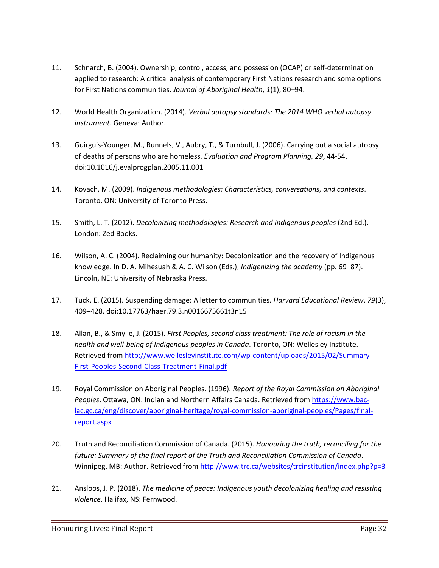- 11. Schnarch, B. (2004). Ownership, control, access, and possession (OCAP) or self-determination applied to research: A critical analysis of contemporary First Nations research and some options for First Nations communities. *Journal of Aboriginal Health*, *1*(1), 80–94.
- 12. World Health Organization. (2014). *Verbal autopsy standards: The 2014 WHO verbal autopsy instrument*. Geneva: Author.
- 13. Guirguis-Younger, M., Runnels, V., Aubry, T., & Turnbull, J. (2006). Carrying out a social autopsy of deaths of persons who are homeless. *Evaluation and Program Planning, 29*, 44-54. doi:10.1016/j.evalprogplan.2005.11.001
- 14. Kovach, M. (2009). *Indigenous methodologies: Characteristics, conversations, and contexts*. Toronto, ON: University of Toronto Press.
- 15. Smith, L. T. (2012). *Decolonizing methodologies: Research and Indigenous peoples* (2nd Ed.). London: Zed Books.
- 16. Wilson, A. C. (2004). Reclaiming our humanity: Decolonization and the recovery of Indigenous knowledge. In D. A. Mihesuah & A. C. Wilson (Eds.), *Indigenizing the academy* (pp. 69–87). Lincoln, NE: University of Nebraska Press.
- 17. Tuck, E. (2015). Suspending damage: A letter to communities. *Harvard Educational Review*, *79*(3), 409–428. doi:10.17763/haer.79.3.n0016675661t3n15
- 18. Allan, B., & Smylie, J. (2015). *First Peoples, second class treatment: The role of racism in the health and well-being of Indigenous peoples in Canada*. Toronto, ON: Wellesley Institute. Retrieved from [http://www.wellesleyinstitute.com/wp-content/uploads/2015/02/Summary-](http://www.wellesleyinstitute.com/wp-content/uploads/2015/02/Summary-First-Peoples-Second-Class-Treatment-Final.pdf)[First-Peoples-Second-Class-Treatment-Final.pdf](http://www.wellesleyinstitute.com/wp-content/uploads/2015/02/Summary-First-Peoples-Second-Class-Treatment-Final.pdf)
- 19. Royal Commission on Aboriginal Peoples. (1996). *Report of the Royal Commission on Aboriginal Peoples*. Ottawa, ON: Indian and Northern Affairs Canada. Retrieved from [https://www.bac](https://www.bac-lac.gc.ca/eng/discover/aboriginal-heritage/royal-commission-aboriginal-peoples/Pages/final-report.aspx)[lac.gc.ca/eng/discover/aboriginal-heritage/royal-commission-aboriginal-peoples/Pages/final](https://www.bac-lac.gc.ca/eng/discover/aboriginal-heritage/royal-commission-aboriginal-peoples/Pages/final-report.aspx)[report.aspx](https://www.bac-lac.gc.ca/eng/discover/aboriginal-heritage/royal-commission-aboriginal-peoples/Pages/final-report.aspx)
- 20. Truth and Reconciliation Commission of Canada. (2015). *Honouring the truth, reconciling for the future: Summary of the final report of the Truth and Reconciliation Commission of Canada*. Winnipeg, MB: Author. Retrieved from<http://www.trc.ca/websites/trcinstitution/index.php?p=3>
- 21. Ansloos, J. P. (2018). *The medicine of peace: Indigenous youth decolonizing healing and resisting violence*. Halifax, NS: Fernwood.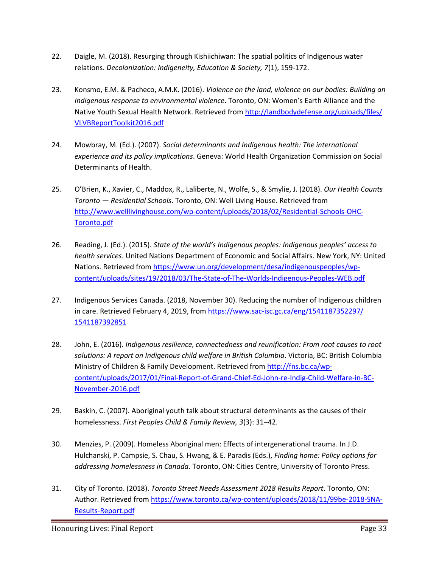- 22. Daigle, M. (2018). Resurging through Kishiichiwan: The spatial politics of Indigenous water relations. *Decolonization: Indigeneity, Education & Society, 7*(1), 159-172.
- 23. Konsmo, E.M. & Pacheco, A.M.K. (2016). *Violence on the land, violence on our bodies: Building an Indigenous response to environmental violence*. Toronto, ON: Women's Earth Alliance and the Native Youth Sexual Health Network. Retrieved from [http://landbodydefense.org/uploads/files/](http://landbodydefense.org/uploads/files/VLVBReportToolkit2016.pdf) [VLVBReportToolkit2016.pdf](http://landbodydefense.org/uploads/files/VLVBReportToolkit2016.pdf)
- 24. Mowbray, M. (Ed.). (2007). *Social determinants and Indigenous health: The international experience and its policy implications*. Geneva: World Health Organization Commission on Social Determinants of Health.
- 25. O'Brien, K., Xavier, C., Maddox, R., Laliberte, N., Wolfe, S., & Smylie, J. (2018). *Our Health Counts Toronto — Residential Schools*. Toronto, ON: Well Living House. Retrieved from [http://www.welllivinghouse.com/wp-content/uploads/2018/02/Residential-Schools-OHC-](http://www.welllivinghouse.com/wp-content/uploads/2018/02/Residential-Schools-OHC-Toronto.pdf)[Toronto.pdf](http://www.welllivinghouse.com/wp-content/uploads/2018/02/Residential-Schools-OHC-Toronto.pdf)
- 26. Reading, J. (Ed.). (2015). *State of the world's Indigenous peoples: Indigenous peoples' access to health services*. United Nations Department of Economic and Social Affairs. New York, NY: United Nations. Retrieved fro[m https://www.un.org/development/desa/indigenouspeoples/wp](https://www.un.org/development/desa/indigenouspeoples/wp-content/uploads/sites/19/2018/03/The-State-of-The-Worlds-Indigenous-Peoples-WEB.pdf)[content/uploads/sites/19/2018/03/The-State-of-The-Worlds-Indigenous-Peoples-WEB.pdf](https://www.un.org/development/desa/indigenouspeoples/wp-content/uploads/sites/19/2018/03/The-State-of-The-Worlds-Indigenous-Peoples-WEB.pdf)
- 27. Indigenous Services Canada. (2018, November 30). Reducing the number of Indigenous children in care. Retrieved February 4, 2019, from [https://www.sac-isc.gc.ca/eng/1541187352297/](https://www.sacisc.gc.ca/eng/1541187352297/1541187392851) [1541187392851](https://www.sacisc.gc.ca/eng/1541187352297/1541187392851)
- 28. John, E. (2016). *Indigenous resilience, connectedness and reunification: From root causes to root solutions: A report on Indigenous child welfare in British Columbia*. Victoria, BC: British Columbia Ministry of Children & Family Development. Retrieved fro[m http://fns.bc.ca/wp](http://fns.bc.ca/wp-content/uploads/2017/01/Final-Report-of-Grand-Chief-Ed-John-re-Indig-Child-Welfare-in-BC-November-2016.pdf)[content/uploads/2017/01/Final-Report-of-Grand-Chief-Ed-John-re-Indig-Child-Welfare-in-BC-](http://fns.bc.ca/wp-content/uploads/2017/01/Final-Report-of-Grand-Chief-Ed-John-re-Indig-Child-Welfare-in-BC-November-2016.pdf)[November-2016.pdf](http://fns.bc.ca/wp-content/uploads/2017/01/Final-Report-of-Grand-Chief-Ed-John-re-Indig-Child-Welfare-in-BC-November-2016.pdf)
- 29. Baskin, C. (2007). Aboriginal youth talk about structural determinants as the causes of their homelessness. *First Peoples Child & Family Review, 3*(3): 31–42.
- 30. Menzies, P. (2009). Homeless Aboriginal men: Effects of intergenerational trauma. In J.D. Hulchanski, P. Campsie, S. Chau, S. Hwang, & E. Paradis (Eds.), *Finding home: Policy options for addressing homelessness in Canada*. Toronto, ON: Cities Centre, University of Toronto Press.
- 31. City of Toronto. (2018). *Toronto Street Needs Assessment 2018 Results Report*. Toronto, ON: Author. Retrieved fro[m https://www.toronto.ca/wp-content/uploads/2018/11/99be-2018-SNA-](https://www.toronto.ca/wp-content/uploads/2018/11/99be-2018-SNA-Results-Report.pdf)[Results-Report.pdf](https://www.toronto.ca/wp-content/uploads/2018/11/99be-2018-SNA-Results-Report.pdf)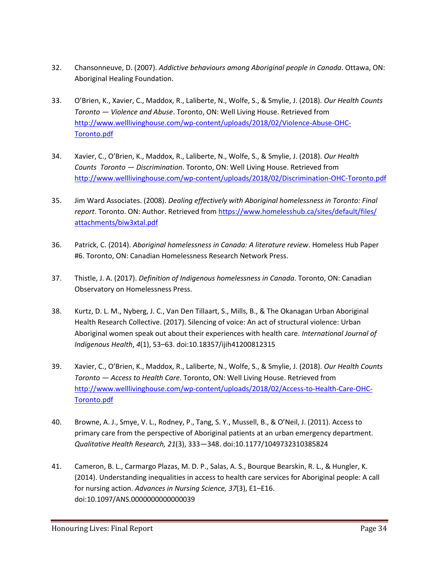- 32. Chansonneuve, D. (2007). *Addictive behaviours among Aboriginal people in Canada*. Ottawa, ON: Aboriginal Healing Foundation.
- 33. O'Brien, K., Xavier, C., Maddox, R., Laliberte, N., Wolfe, S., & Smylie, J. (2018). *Our Health Counts Toronto — Violence and Abuse*. Toronto, ON: Well Living House. Retrieved from [http://www.welllivinghouse.com/wp-content/uploads/2018/02/Violence-Abuse-OHC-](http://www.welllivinghouse.com/wp-content/uploads/2018/02/Violence-Abuse-OHC-Toronto.pdf)[Toronto.pdf](http://www.welllivinghouse.com/wp-content/uploads/2018/02/Violence-Abuse-OHC-Toronto.pdf)
- 34. Xavier, C., O'Brien, K., Maddox, R., Laliberte, N., Wolfe, S., & Smylie, J. (2018). *Our Health Counts Toronto — Discrimination*. Toronto, ON: Well Living House. Retrieved from <http://www.welllivinghouse.com/wp-content/uploads/2018/02/Discrimination-OHC-Toronto.pdf>
- 35. Jim Ward Associates. (2008). *Dealing effectively with Aboriginal homelessness in Toronto: Final report*. Toronto. ON: Author. Retrieved fro[m https://www.homelesshub.ca/sites/default/files/](https://www.homelesshub.ca/sites/default/files/attachments/biw3xtal.pdf) [attachments/biw3xtal.pdf](https://www.homelesshub.ca/sites/default/files/attachments/biw3xtal.pdf)
- 36. Patrick, C. (2014). *Aboriginal homelessness in Canada: A literature review*. Homeless Hub Paper #6. Toronto, ON: Canadian Homelessness Research Network Press.
- 37. Thistle, J. A. (2017). *Definition of Indigenous homelessness in Canada*. Toronto, ON: Canadian Observatory on Homelessness Press.
- 38. Kurtz, D. L. M., Nyberg, J. C., Van Den Tillaart, S., Mills, B., & The Okanagan Urban Aboriginal Health Research Collective. (2017). Silencing of voice: An act of structural violence: Urban Aboriginal women speak out about their experiences with health care. *International Journal of Indigenous Health*, *4*(1), 53–63. doi:10.18357/ijih41200812315
- 39. Xavier, C., O'Brien, K., Maddox, R., Laliberte, N., Wolfe, S., & Smylie, J. (2018). *Our Health Counts Toronto — Access to Health Care*. Toronto, ON: Well Living House. Retrieved from [http://www.welllivinghouse.com/wp-content/uploads/2018/02/Access-to-Health-Care-OHC-](http://www.welllivinghouse.com/wp-content/uploads/2018/02/Access-to-Health-Care-OHC-Toronto.pdf)[Toronto.pdf](http://www.welllivinghouse.com/wp-content/uploads/2018/02/Access-to-Health-Care-OHC-Toronto.pdf)
- 40. Browne, A. J., Smye, V. L., Rodney, P., Tang, S. Y., Mussell, B., & O'Neil, J. (2011). Access to primary care from the perspective of Aboriginal patients at an urban emergency department. *Qualitative Health Research, 21*(3), 333—348. doi:10.1177/1049732310385824
- 41. Cameron, B. L., Carmargo Plazas, M. D. P., Salas, A. S., Bourque Bearskin, R. L., & Hungler, K. (2014). Understanding inequalities in access to health care services for Aboriginal people: A call for nursing action. *Advances in Nursing Science, 37*(3), E1–E16. doi:10.1097/ANS.0000000000000039